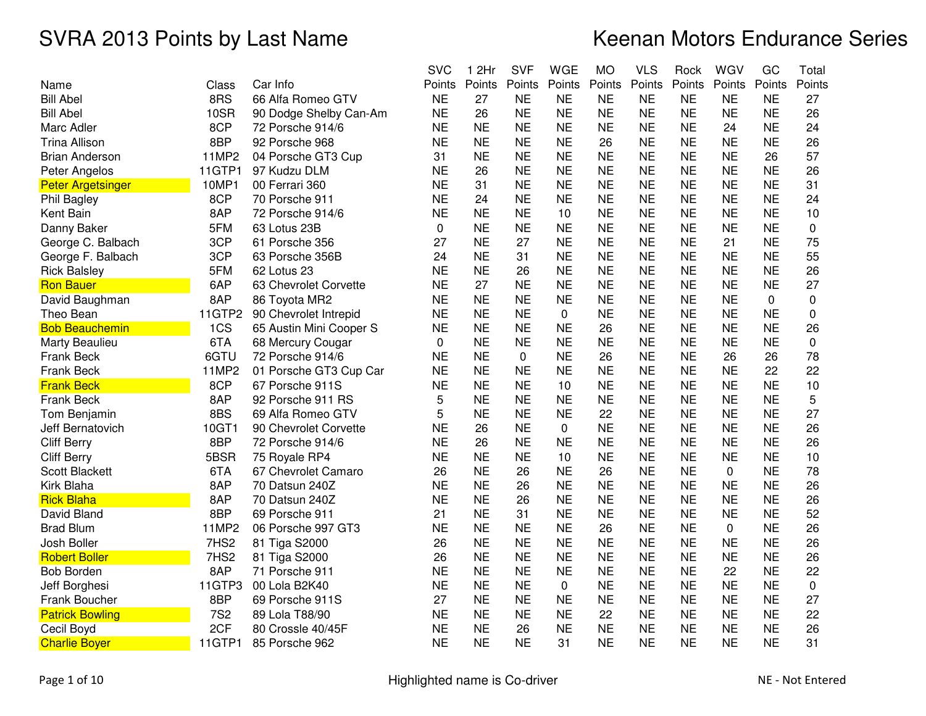|        |                                                                                                                                                                                                                   | <b>SVC</b>                                                                                                                                                                                                                                                                                                                                                                                                                                           | 2Hr<br>1                                                                                                                                                                                                                                                          | <b>SVF</b>                                                                                                                                                                                                                                                                                             | <b>WGE</b>                                                                                                                                                                                                                                                                                       | МO                                                                                                                                                                                                                                                                                              | <b>VLS</b>                                                                                                                                                                                                                                                                                           | Rock                                                                                                                                                                                                                                                                                                                              | WGV                                                                                                                                                                                                                                                                                                                               | GC                                                                                                                                                                                                                                                                                               | Total                                                                                                                                                                                                                                                                                     |
|--------|-------------------------------------------------------------------------------------------------------------------------------------------------------------------------------------------------------------------|------------------------------------------------------------------------------------------------------------------------------------------------------------------------------------------------------------------------------------------------------------------------------------------------------------------------------------------------------------------------------------------------------------------------------------------------------|-------------------------------------------------------------------------------------------------------------------------------------------------------------------------------------------------------------------------------------------------------------------|--------------------------------------------------------------------------------------------------------------------------------------------------------------------------------------------------------------------------------------------------------------------------------------------------------|--------------------------------------------------------------------------------------------------------------------------------------------------------------------------------------------------------------------------------------------------------------------------------------------------|-------------------------------------------------------------------------------------------------------------------------------------------------------------------------------------------------------------------------------------------------------------------------------------------------|------------------------------------------------------------------------------------------------------------------------------------------------------------------------------------------------------------------------------------------------------------------------------------------------------|-----------------------------------------------------------------------------------------------------------------------------------------------------------------------------------------------------------------------------------------------------------------------------------------------------------------------------------|-----------------------------------------------------------------------------------------------------------------------------------------------------------------------------------------------------------------------------------------------------------------------------------------------------------------------------------|--------------------------------------------------------------------------------------------------------------------------------------------------------------------------------------------------------------------------------------------------------------------------------------------------|-------------------------------------------------------------------------------------------------------------------------------------------------------------------------------------------------------------------------------------------------------------------------------------------|
| Class  | Car Info                                                                                                                                                                                                          | Points                                                                                                                                                                                                                                                                                                                                                                                                                                               | Points                                                                                                                                                                                                                                                            | Points                                                                                                                                                                                                                                                                                                 | Points                                                                                                                                                                                                                                                                                           | Points                                                                                                                                                                                                                                                                                          | Points                                                                                                                                                                                                                                                                                               | Points                                                                                                                                                                                                                                                                                                                            | Points                                                                                                                                                                                                                                                                                                                            | Points                                                                                                                                                                                                                                                                                           | Points                                                                                                                                                                                                                                                                                    |
| 8RS    | 66 Alfa Romeo GTV                                                                                                                                                                                                 | <b>NE</b>                                                                                                                                                                                                                                                                                                                                                                                                                                            | 27                                                                                                                                                                                                                                                                | <b>NE</b>                                                                                                                                                                                                                                                                                              | ΝE                                                                                                                                                                                                                                                                                               | NE                                                                                                                                                                                                                                                                                              | <b>NE</b>                                                                                                                                                                                                                                                                                            | <b>NE</b>                                                                                                                                                                                                                                                                                                                         | <b>NE</b>                                                                                                                                                                                                                                                                                                                         | <b>NE</b>                                                                                                                                                                                                                                                                                        | 27                                                                                                                                                                                                                                                                                        |
| 10SR   | 90 Dodge Shelby Can-Am                                                                                                                                                                                            | <b>NE</b>                                                                                                                                                                                                                                                                                                                                                                                                                                            | 26                                                                                                                                                                                                                                                                | <b>NE</b>                                                                                                                                                                                                                                                                                              | <b>NE</b>                                                                                                                                                                                                                                                                                        | <b>NE</b>                                                                                                                                                                                                                                                                                       | <b>NE</b>                                                                                                                                                                                                                                                                                            | <b>NE</b>                                                                                                                                                                                                                                                                                                                         | <b>NE</b>                                                                                                                                                                                                                                                                                                                         | <b>NE</b>                                                                                                                                                                                                                                                                                        | 26                                                                                                                                                                                                                                                                                        |
| 8CP    | 72 Porsche 914/6                                                                                                                                                                                                  | <b>NE</b>                                                                                                                                                                                                                                                                                                                                                                                                                                            | <b>NE</b>                                                                                                                                                                                                                                                         | <b>NE</b>                                                                                                                                                                                                                                                                                              | <b>NE</b>                                                                                                                                                                                                                                                                                        | <b>NE</b>                                                                                                                                                                                                                                                                                       | <b>NE</b>                                                                                                                                                                                                                                                                                            | <b>NE</b>                                                                                                                                                                                                                                                                                                                         | 24                                                                                                                                                                                                                                                                                                                                | <b>NE</b>                                                                                                                                                                                                                                                                                        | 24                                                                                                                                                                                                                                                                                        |
| 8BP    | 92 Porsche 968                                                                                                                                                                                                    | <b>NE</b>                                                                                                                                                                                                                                                                                                                                                                                                                                            | <b>NE</b>                                                                                                                                                                                                                                                         | <b>NE</b>                                                                                                                                                                                                                                                                                              | <b>NE</b>                                                                                                                                                                                                                                                                                        | 26                                                                                                                                                                                                                                                                                              | <b>NE</b>                                                                                                                                                                                                                                                                                            | <b>NE</b>                                                                                                                                                                                                                                                                                                                         | <b>NE</b>                                                                                                                                                                                                                                                                                                                         | <b>NE</b>                                                                                                                                                                                                                                                                                        | 26                                                                                                                                                                                                                                                                                        |
| 11MP2  | 04 Porsche GT3 Cup                                                                                                                                                                                                | 31                                                                                                                                                                                                                                                                                                                                                                                                                                                   | <b>NE</b>                                                                                                                                                                                                                                                         | <b>NE</b>                                                                                                                                                                                                                                                                                              | <b>NE</b>                                                                                                                                                                                                                                                                                        | <b>NE</b>                                                                                                                                                                                                                                                                                       | <b>NE</b>                                                                                                                                                                                                                                                                                            | <b>NE</b>                                                                                                                                                                                                                                                                                                                         | <b>NE</b>                                                                                                                                                                                                                                                                                                                         | 26                                                                                                                                                                                                                                                                                               | 57                                                                                                                                                                                                                                                                                        |
| 11GTP1 | 97 Kudzu DLM                                                                                                                                                                                                      | <b>NE</b>                                                                                                                                                                                                                                                                                                                                                                                                                                            | 26                                                                                                                                                                                                                                                                | <b>NE</b>                                                                                                                                                                                                                                                                                              | <b>NE</b>                                                                                                                                                                                                                                                                                        | <b>NE</b>                                                                                                                                                                                                                                                                                       | <b>NE</b>                                                                                                                                                                                                                                                                                            | <b>NE</b>                                                                                                                                                                                                                                                                                                                         | <b>NE</b>                                                                                                                                                                                                                                                                                                                         | NE                                                                                                                                                                                                                                                                                               | 26                                                                                                                                                                                                                                                                                        |
| 10MP1  | 00 Ferrari 360                                                                                                                                                                                                    | <b>NE</b>                                                                                                                                                                                                                                                                                                                                                                                                                                            | 31                                                                                                                                                                                                                                                                | <b>NE</b>                                                                                                                                                                                                                                                                                              | <b>NE</b>                                                                                                                                                                                                                                                                                        | <b>NE</b>                                                                                                                                                                                                                                                                                       | <b>NE</b>                                                                                                                                                                                                                                                                                            | <b>NE</b>                                                                                                                                                                                                                                                                                                                         | <b>NE</b>                                                                                                                                                                                                                                                                                                                         | <b>NE</b>                                                                                                                                                                                                                                                                                        | 31                                                                                                                                                                                                                                                                                        |
| 8CP    | 70 Porsche 911                                                                                                                                                                                                    | <b>NE</b>                                                                                                                                                                                                                                                                                                                                                                                                                                            | 24                                                                                                                                                                                                                                                                | <b>NE</b>                                                                                                                                                                                                                                                                                              | <b>NE</b>                                                                                                                                                                                                                                                                                        | <b>NE</b>                                                                                                                                                                                                                                                                                       | <b>NE</b>                                                                                                                                                                                                                                                                                            | <b>NE</b>                                                                                                                                                                                                                                                                                                                         | <b>NE</b>                                                                                                                                                                                                                                                                                                                         | <b>NE</b>                                                                                                                                                                                                                                                                                        | 24                                                                                                                                                                                                                                                                                        |
| 8AP    | 72 Porsche 914/6                                                                                                                                                                                                  | <b>NE</b>                                                                                                                                                                                                                                                                                                                                                                                                                                            | <b>NE</b>                                                                                                                                                                                                                                                         | <b>NE</b>                                                                                                                                                                                                                                                                                              | 10                                                                                                                                                                                                                                                                                               | <b>NE</b>                                                                                                                                                                                                                                                                                       | <b>NE</b>                                                                                                                                                                                                                                                                                            | <b>NE</b>                                                                                                                                                                                                                                                                                                                         | <b>NE</b>                                                                                                                                                                                                                                                                                                                         | <b>NE</b>                                                                                                                                                                                                                                                                                        | 10                                                                                                                                                                                                                                                                                        |
| 5FM    | 63 Lotus 23B                                                                                                                                                                                                      | $\Omega$                                                                                                                                                                                                                                                                                                                                                                                                                                             | <b>NE</b>                                                                                                                                                                                                                                                         |                                                                                                                                                                                                                                                                                                        |                                                                                                                                                                                                                                                                                                  |                                                                                                                                                                                                                                                                                                 |                                                                                                                                                                                                                                                                                                      |                                                                                                                                                                                                                                                                                                                                   |                                                                                                                                                                                                                                                                                                                                   |                                                                                                                                                                                                                                                                                                  | 0                                                                                                                                                                                                                                                                                         |
| 3CP    | 61 Porsche 356                                                                                                                                                                                                    | 27                                                                                                                                                                                                                                                                                                                                                                                                                                                   | <b>NE</b>                                                                                                                                                                                                                                                         | 27                                                                                                                                                                                                                                                                                                     | <b>NE</b>                                                                                                                                                                                                                                                                                        | <b>NE</b>                                                                                                                                                                                                                                                                                       | <b>NE</b>                                                                                                                                                                                                                                                                                            | <b>NE</b>                                                                                                                                                                                                                                                                                                                         | 21                                                                                                                                                                                                                                                                                                                                | <b>NE</b>                                                                                                                                                                                                                                                                                        | 75                                                                                                                                                                                                                                                                                        |
| 3CP    | 63 Porsche 356B                                                                                                                                                                                                   | 24                                                                                                                                                                                                                                                                                                                                                                                                                                                   | <b>NE</b>                                                                                                                                                                                                                                                         | 31                                                                                                                                                                                                                                                                                                     | <b>NE</b>                                                                                                                                                                                                                                                                                        | <b>NE</b>                                                                                                                                                                                                                                                                                       | <b>NE</b>                                                                                                                                                                                                                                                                                            | <b>NE</b>                                                                                                                                                                                                                                                                                                                         | <b>NE</b>                                                                                                                                                                                                                                                                                                                         | <b>NE</b>                                                                                                                                                                                                                                                                                        | 55                                                                                                                                                                                                                                                                                        |
| 5FM    | 62 Lotus 23                                                                                                                                                                                                       | <b>NE</b>                                                                                                                                                                                                                                                                                                                                                                                                                                            | <b>NE</b>                                                                                                                                                                                                                                                         | 26                                                                                                                                                                                                                                                                                                     | <b>NE</b>                                                                                                                                                                                                                                                                                        | <b>NE</b>                                                                                                                                                                                                                                                                                       | <b>NE</b>                                                                                                                                                                                                                                                                                            | <b>NE</b>                                                                                                                                                                                                                                                                                                                         | <b>NE</b>                                                                                                                                                                                                                                                                                                                         | <b>NE</b>                                                                                                                                                                                                                                                                                        | 26                                                                                                                                                                                                                                                                                        |
|        | 63 Chevrolet Corvette                                                                                                                                                                                             |                                                                                                                                                                                                                                                                                                                                                                                                                                                      | 27                                                                                                                                                                                                                                                                | <b>NE</b>                                                                                                                                                                                                                                                                                              |                                                                                                                                                                                                                                                                                                  |                                                                                                                                                                                                                                                                                                 | <b>NE</b>                                                                                                                                                                                                                                                                                            | <b>NE</b>                                                                                                                                                                                                                                                                                                                         | <b>NE</b>                                                                                                                                                                                                                                                                                                                         | <b>NE</b>                                                                                                                                                                                                                                                                                        | 27                                                                                                                                                                                                                                                                                        |
| 8AP    | 86 Toyota MR2                                                                                                                                                                                                     | <b>NE</b>                                                                                                                                                                                                                                                                                                                                                                                                                                            | <b>NE</b>                                                                                                                                                                                                                                                         | <b>NE</b>                                                                                                                                                                                                                                                                                              | <b>NE</b>                                                                                                                                                                                                                                                                                        | <b>NE</b>                                                                                                                                                                                                                                                                                       | <b>NE</b>                                                                                                                                                                                                                                                                                            | <b>NE</b>                                                                                                                                                                                                                                                                                                                         | <b>NE</b>                                                                                                                                                                                                                                                                                                                         | 0                                                                                                                                                                                                                                                                                                | 0                                                                                                                                                                                                                                                                                         |
|        | 90 Chevrolet Intrepid                                                                                                                                                                                             |                                                                                                                                                                                                                                                                                                                                                                                                                                                      |                                                                                                                                                                                                                                                                   |                                                                                                                                                                                                                                                                                                        | $\pmb{0}$                                                                                                                                                                                                                                                                                        |                                                                                                                                                                                                                                                                                                 |                                                                                                                                                                                                                                                                                                      |                                                                                                                                                                                                                                                                                                                                   |                                                                                                                                                                                                                                                                                                                                   |                                                                                                                                                                                                                                                                                                  | $\mathbf 0$                                                                                                                                                                                                                                                                               |
|        |                                                                                                                                                                                                                   |                                                                                                                                                                                                                                                                                                                                                                                                                                                      |                                                                                                                                                                                                                                                                   |                                                                                                                                                                                                                                                                                                        |                                                                                                                                                                                                                                                                                                  |                                                                                                                                                                                                                                                                                                 |                                                                                                                                                                                                                                                                                                      |                                                                                                                                                                                                                                                                                                                                   |                                                                                                                                                                                                                                                                                                                                   |                                                                                                                                                                                                                                                                                                  | 26                                                                                                                                                                                                                                                                                        |
|        | 68 Mercury Cougar                                                                                                                                                                                                 | 0                                                                                                                                                                                                                                                                                                                                                                                                                                                    |                                                                                                                                                                                                                                                                   |                                                                                                                                                                                                                                                                                                        |                                                                                                                                                                                                                                                                                                  |                                                                                                                                                                                                                                                                                                 |                                                                                                                                                                                                                                                                                                      |                                                                                                                                                                                                                                                                                                                                   |                                                                                                                                                                                                                                                                                                                                   |                                                                                                                                                                                                                                                                                                  | 0                                                                                                                                                                                                                                                                                         |
|        |                                                                                                                                                                                                                   |                                                                                                                                                                                                                                                                                                                                                                                                                                                      |                                                                                                                                                                                                                                                                   |                                                                                                                                                                                                                                                                                                        |                                                                                                                                                                                                                                                                                                  |                                                                                                                                                                                                                                                                                                 |                                                                                                                                                                                                                                                                                                      |                                                                                                                                                                                                                                                                                                                                   |                                                                                                                                                                                                                                                                                                                                   |                                                                                                                                                                                                                                                                                                  | 78                                                                                                                                                                                                                                                                                        |
|        |                                                                                                                                                                                                                   |                                                                                                                                                                                                                                                                                                                                                                                                                                                      |                                                                                                                                                                                                                                                                   |                                                                                                                                                                                                                                                                                                        |                                                                                                                                                                                                                                                                                                  |                                                                                                                                                                                                                                                                                                 |                                                                                                                                                                                                                                                                                                      |                                                                                                                                                                                                                                                                                                                                   |                                                                                                                                                                                                                                                                                                                                   |                                                                                                                                                                                                                                                                                                  | 22                                                                                                                                                                                                                                                                                        |
|        |                                                                                                                                                                                                                   |                                                                                                                                                                                                                                                                                                                                                                                                                                                      |                                                                                                                                                                                                                                                                   |                                                                                                                                                                                                                                                                                                        |                                                                                                                                                                                                                                                                                                  |                                                                                                                                                                                                                                                                                                 |                                                                                                                                                                                                                                                                                                      |                                                                                                                                                                                                                                                                                                                                   |                                                                                                                                                                                                                                                                                                                                   |                                                                                                                                                                                                                                                                                                  | 10                                                                                                                                                                                                                                                                                        |
|        |                                                                                                                                                                                                                   |                                                                                                                                                                                                                                                                                                                                                                                                                                                      |                                                                                                                                                                                                                                                                   |                                                                                                                                                                                                                                                                                                        |                                                                                                                                                                                                                                                                                                  |                                                                                                                                                                                                                                                                                                 |                                                                                                                                                                                                                                                                                                      |                                                                                                                                                                                                                                                                                                                                   |                                                                                                                                                                                                                                                                                                                                   | <b>NE</b>                                                                                                                                                                                                                                                                                        | 5                                                                                                                                                                                                                                                                                         |
|        |                                                                                                                                                                                                                   |                                                                                                                                                                                                                                                                                                                                                                                                                                                      |                                                                                                                                                                                                                                                                   |                                                                                                                                                                                                                                                                                                        |                                                                                                                                                                                                                                                                                                  |                                                                                                                                                                                                                                                                                                 |                                                                                                                                                                                                                                                                                                      |                                                                                                                                                                                                                                                                                                                                   |                                                                                                                                                                                                                                                                                                                                   |                                                                                                                                                                                                                                                                                                  | 27                                                                                                                                                                                                                                                                                        |
|        |                                                                                                                                                                                                                   |                                                                                                                                                                                                                                                                                                                                                                                                                                                      |                                                                                                                                                                                                                                                                   |                                                                                                                                                                                                                                                                                                        |                                                                                                                                                                                                                                                                                                  |                                                                                                                                                                                                                                                                                                 |                                                                                                                                                                                                                                                                                                      |                                                                                                                                                                                                                                                                                                                                   |                                                                                                                                                                                                                                                                                                                                   |                                                                                                                                                                                                                                                                                                  | 26                                                                                                                                                                                                                                                                                        |
|        |                                                                                                                                                                                                                   |                                                                                                                                                                                                                                                                                                                                                                                                                                                      |                                                                                                                                                                                                                                                                   |                                                                                                                                                                                                                                                                                                        |                                                                                                                                                                                                                                                                                                  |                                                                                                                                                                                                                                                                                                 |                                                                                                                                                                                                                                                                                                      |                                                                                                                                                                                                                                                                                                                                   |                                                                                                                                                                                                                                                                                                                                   |                                                                                                                                                                                                                                                                                                  | 26                                                                                                                                                                                                                                                                                        |
|        |                                                                                                                                                                                                                   |                                                                                                                                                                                                                                                                                                                                                                                                                                                      |                                                                                                                                                                                                                                                                   |                                                                                                                                                                                                                                                                                                        |                                                                                                                                                                                                                                                                                                  |                                                                                                                                                                                                                                                                                                 |                                                                                                                                                                                                                                                                                                      |                                                                                                                                                                                                                                                                                                                                   |                                                                                                                                                                                                                                                                                                                                   |                                                                                                                                                                                                                                                                                                  | 10                                                                                                                                                                                                                                                                                        |
|        |                                                                                                                                                                                                                   |                                                                                                                                                                                                                                                                                                                                                                                                                                                      |                                                                                                                                                                                                                                                                   |                                                                                                                                                                                                                                                                                                        |                                                                                                                                                                                                                                                                                                  |                                                                                                                                                                                                                                                                                                 |                                                                                                                                                                                                                                                                                                      |                                                                                                                                                                                                                                                                                                                                   |                                                                                                                                                                                                                                                                                                                                   |                                                                                                                                                                                                                                                                                                  | 78                                                                                                                                                                                                                                                                                        |
|        |                                                                                                                                                                                                                   |                                                                                                                                                                                                                                                                                                                                                                                                                                                      |                                                                                                                                                                                                                                                                   |                                                                                                                                                                                                                                                                                                        |                                                                                                                                                                                                                                                                                                  |                                                                                                                                                                                                                                                                                                 |                                                                                                                                                                                                                                                                                                      |                                                                                                                                                                                                                                                                                                                                   |                                                                                                                                                                                                                                                                                                                                   |                                                                                                                                                                                                                                                                                                  | 26                                                                                                                                                                                                                                                                                        |
|        |                                                                                                                                                                                                                   |                                                                                                                                                                                                                                                                                                                                                                                                                                                      |                                                                                                                                                                                                                                                                   |                                                                                                                                                                                                                                                                                                        |                                                                                                                                                                                                                                                                                                  |                                                                                                                                                                                                                                                                                                 |                                                                                                                                                                                                                                                                                                      |                                                                                                                                                                                                                                                                                                                                   |                                                                                                                                                                                                                                                                                                                                   |                                                                                                                                                                                                                                                                                                  | 26                                                                                                                                                                                                                                                                                        |
|        |                                                                                                                                                                                                                   |                                                                                                                                                                                                                                                                                                                                                                                                                                                      |                                                                                                                                                                                                                                                                   |                                                                                                                                                                                                                                                                                                        |                                                                                                                                                                                                                                                                                                  |                                                                                                                                                                                                                                                                                                 |                                                                                                                                                                                                                                                                                                      |                                                                                                                                                                                                                                                                                                                                   |                                                                                                                                                                                                                                                                                                                                   |                                                                                                                                                                                                                                                                                                  | 52                                                                                                                                                                                                                                                                                        |
|        |                                                                                                                                                                                                                   |                                                                                                                                                                                                                                                                                                                                                                                                                                                      |                                                                                                                                                                                                                                                                   |                                                                                                                                                                                                                                                                                                        |                                                                                                                                                                                                                                                                                                  |                                                                                                                                                                                                                                                                                                 |                                                                                                                                                                                                                                                                                                      |                                                                                                                                                                                                                                                                                                                                   |                                                                                                                                                                                                                                                                                                                                   |                                                                                                                                                                                                                                                                                                  | 26                                                                                                                                                                                                                                                                                        |
|        |                                                                                                                                                                                                                   |                                                                                                                                                                                                                                                                                                                                                                                                                                                      |                                                                                                                                                                                                                                                                   |                                                                                                                                                                                                                                                                                                        |                                                                                                                                                                                                                                                                                                  |                                                                                                                                                                                                                                                                                                 |                                                                                                                                                                                                                                                                                                      |                                                                                                                                                                                                                                                                                                                                   |                                                                                                                                                                                                                                                                                                                                   |                                                                                                                                                                                                                                                                                                  | 26                                                                                                                                                                                                                                                                                        |
|        |                                                                                                                                                                                                                   |                                                                                                                                                                                                                                                                                                                                                                                                                                                      |                                                                                                                                                                                                                                                                   |                                                                                                                                                                                                                                                                                                        |                                                                                                                                                                                                                                                                                                  |                                                                                                                                                                                                                                                                                                 |                                                                                                                                                                                                                                                                                                      |                                                                                                                                                                                                                                                                                                                                   |                                                                                                                                                                                                                                                                                                                                   |                                                                                                                                                                                                                                                                                                  | 26                                                                                                                                                                                                                                                                                        |
|        |                                                                                                                                                                                                                   |                                                                                                                                                                                                                                                                                                                                                                                                                                                      |                                                                                                                                                                                                                                                                   |                                                                                                                                                                                                                                                                                                        |                                                                                                                                                                                                                                                                                                  |                                                                                                                                                                                                                                                                                                 |                                                                                                                                                                                                                                                                                                      |                                                                                                                                                                                                                                                                                                                                   |                                                                                                                                                                                                                                                                                                                                   |                                                                                                                                                                                                                                                                                                  | 22                                                                                                                                                                                                                                                                                        |
|        |                                                                                                                                                                                                                   |                                                                                                                                                                                                                                                                                                                                                                                                                                                      |                                                                                                                                                                                                                                                                   |                                                                                                                                                                                                                                                                                                        | 0                                                                                                                                                                                                                                                                                                |                                                                                                                                                                                                                                                                                                 |                                                                                                                                                                                                                                                                                                      |                                                                                                                                                                                                                                                                                                                                   |                                                                                                                                                                                                                                                                                                                                   |                                                                                                                                                                                                                                                                                                  | 0                                                                                                                                                                                                                                                                                         |
|        |                                                                                                                                                                                                                   |                                                                                                                                                                                                                                                                                                                                                                                                                                                      |                                                                                                                                                                                                                                                                   |                                                                                                                                                                                                                                                                                                        |                                                                                                                                                                                                                                                                                                  |                                                                                                                                                                                                                                                                                                 |                                                                                                                                                                                                                                                                                                      |                                                                                                                                                                                                                                                                                                                                   |                                                                                                                                                                                                                                                                                                                                   |                                                                                                                                                                                                                                                                                                  | 27                                                                                                                                                                                                                                                                                        |
|        |                                                                                                                                                                                                                   |                                                                                                                                                                                                                                                                                                                                                                                                                                                      |                                                                                                                                                                                                                                                                   |                                                                                                                                                                                                                                                                                                        |                                                                                                                                                                                                                                                                                                  |                                                                                                                                                                                                                                                                                                 |                                                                                                                                                                                                                                                                                                      |                                                                                                                                                                                                                                                                                                                                   |                                                                                                                                                                                                                                                                                                                                   |                                                                                                                                                                                                                                                                                                  | 22                                                                                                                                                                                                                                                                                        |
|        |                                                                                                                                                                                                                   |                                                                                                                                                                                                                                                                                                                                                                                                                                                      |                                                                                                                                                                                                                                                                   |                                                                                                                                                                                                                                                                                                        |                                                                                                                                                                                                                                                                                                  |                                                                                                                                                                                                                                                                                                 |                                                                                                                                                                                                                                                                                                      |                                                                                                                                                                                                                                                                                                                                   |                                                                                                                                                                                                                                                                                                                                   |                                                                                                                                                                                                                                                                                                  | 26                                                                                                                                                                                                                                                                                        |
|        |                                                                                                                                                                                                                   |                                                                                                                                                                                                                                                                                                                                                                                                                                                      |                                                                                                                                                                                                                                                                   |                                                                                                                                                                                                                                                                                                        |                                                                                                                                                                                                                                                                                                  |                                                                                                                                                                                                                                                                                                 |                                                                                                                                                                                                                                                                                                      |                                                                                                                                                                                                                                                                                                                                   | NE                                                                                                                                                                                                                                                                                                                                | NE                                                                                                                                                                                                                                                                                               | 31                                                                                                                                                                                                                                                                                        |
|        | 6AP<br>11GTP2<br>1CS<br>6TA<br>6GTU<br>11MP2<br>8CP<br>8AP<br>8BS<br>10GT1<br>8BP<br>5BSR<br>6TA<br>8AP<br>8AP<br>8BP<br>11MP2<br>7HS2<br>7HS <sub>2</sub><br>8AP<br>11GTP3<br>8BP<br><b>7S2</b><br>2CF<br>11GTP1 | 65 Austin Mini Cooper S<br>72 Porsche 914/6<br>01 Porsche GT3 Cup Car<br>67 Porsche 911S<br>92 Porsche 911 RS<br>69 Alfa Romeo GTV<br>90 Chevrolet Corvette<br>72 Porsche 914/6<br>75 Royale RP4<br>67 Chevrolet Camaro<br>70 Datsun 240Z<br>70 Datsun 240Z<br>69 Porsche 911<br>06 Porsche 997 GT3<br>81 Tiga S2000<br>81 Tiga S2000<br>71 Porsche 911<br>00 Lola B2K40<br>69 Porsche 911S<br>89 Lola T88/90<br>80 Crossle 40/45F<br>85 Porsche 962 | <b>NE</b><br><b>NE</b><br><b>NE</b><br><b>NE</b><br><b>NE</b><br><b>NE</b><br>5<br>5<br><b>NE</b><br><b>NE</b><br><b>NE</b><br>26<br><b>NE</b><br><b>NE</b><br>21<br><b>NE</b><br>26<br>26<br><b>NE</b><br><b>NE</b><br>27<br><b>NE</b><br><b>NE</b><br><b>NE</b> | <b>NE</b><br><b>NE</b><br><b>NE</b><br><b>NE</b><br><b>NE</b><br><b>NE</b><br><b>NE</b><br><b>NE</b><br>26<br>26<br><b>NE</b><br><b>NE</b><br><b>NE</b><br><b>NE</b><br><b>NE</b><br><b>NE</b><br><b>NE</b><br><b>NE</b><br><b>NE</b><br><b>NE</b><br><b>NE</b><br><b>NE</b><br><b>NE</b><br><b>NE</b> | <b>NE</b><br><b>NE</b><br><b>NE</b><br><b>NE</b><br>$\mathbf 0$<br><b>NE</b><br><b>NE</b><br><b>NE</b><br><b>NE</b><br><b>NE</b><br><b>NE</b><br><b>NE</b><br>26<br>26<br>26<br>31<br><b>NE</b><br><b>NE</b><br><b>NE</b><br><b>NE</b><br><b>NE</b><br><b>NE</b><br><b>NE</b><br>26<br><b>NE</b> | <b>NE</b><br><b>NE</b><br><b>NE</b><br><b>NE</b><br><b>NE</b><br><b>NE</b><br>10<br><b>NE</b><br><b>NE</b><br>$\pmb{0}$<br><b>NE</b><br>10<br><b>NE</b><br><b>NE</b><br><b>NE</b><br><b>NE</b><br><b>NE</b><br><b>NE</b><br><b>NE</b><br><b>NE</b><br><b>NE</b><br><b>NE</b><br><b>NE</b><br>31 | <b>NE</b><br><b>NE</b><br><b>NE</b><br>26<br><b>NE</b><br>26<br><b>NE</b><br><b>NE</b><br><b>NE</b><br>22<br><b>NE</b><br><b>NE</b><br><b>NE</b><br>26<br><b>NE</b><br><b>NE</b><br><b>NE</b><br>26<br><b>NE</b><br><b>NE</b><br><b>NE</b><br><b>NE</b><br><b>NE</b><br>22<br><b>NE</b><br><b>NE</b> | <b>NE</b><br><b>NE</b><br><b>NE</b><br><b>NE</b><br><b>NE</b><br><b>NE</b><br><b>NE</b><br><b>NE</b><br><b>NE</b><br><b>NE</b><br><b>NE</b><br><b>NE</b><br><b>NE</b><br><b>NE</b><br><b>NE</b><br><b>NE</b><br><b>NE</b><br><b>NE</b><br><b>NE</b><br><b>NE</b><br><b>NE</b><br><b>NE</b><br><b>NE</b><br><b>NE</b><br><b>NE</b> | <b>NE</b><br><b>NE</b><br><b>NE</b><br><b>NE</b><br><b>NE</b><br><b>NE</b><br><b>NE</b><br><b>NE</b><br><b>NE</b><br><b>NE</b><br><b>NE</b><br><b>NE</b><br><b>NE</b><br><b>NE</b><br><b>NE</b><br><b>NE</b><br><b>NE</b><br><b>NE</b><br><b>NE</b><br><b>NE</b><br><b>NE</b><br><b>NE</b><br><b>NE</b><br><b>NE</b><br><b>NE</b> | <b>NE</b><br><b>NE</b><br><b>NE</b><br><b>NE</b><br>26<br><b>NE</b><br><b>NE</b><br><b>NE</b><br><b>NE</b><br><b>NE</b><br><b>NE</b><br><b>NE</b><br>0<br><b>NE</b><br><b>NE</b><br><b>NE</b><br>$\mathbf 0$<br><b>NE</b><br><b>NE</b><br>22<br><b>NE</b><br><b>NE</b><br><b>NE</b><br><b>NE</b> | <b>NE</b><br><b>NE</b><br><b>NE</b><br><b>NE</b><br>26<br>22<br><b>NE</b><br><b>NE</b><br><b>NE</b><br><b>NE</b><br><b>NE</b><br><b>NE</b><br><b>NE</b><br><b>NE</b><br><b>NE</b><br><b>NE</b><br><b>NE</b><br><b>NE</b><br><b>NE</b><br><b>NE</b><br><b>NE</b><br><b>NE</b><br><b>NE</b> |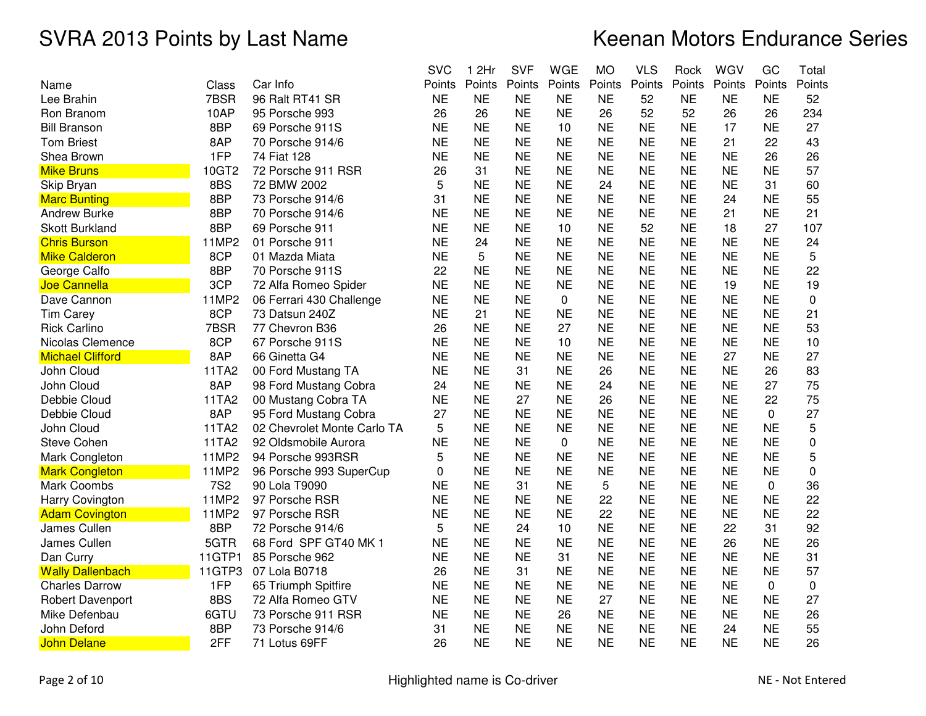|                         |            |                             | <b>SVC</b> | 1 2Hr     | <b>SVF</b> | <b>WGE</b> | <b>MO</b> | <b>VLS</b> | Rock      | WGV       | GC          | Total  |
|-------------------------|------------|-----------------------------|------------|-----------|------------|------------|-----------|------------|-----------|-----------|-------------|--------|
| Name                    | Class      | Car Info                    | Points     | Points    | Points     | Points     | Points    | Points     | Points    | Points    | Points      | Points |
| Lee Brahin              | 7BSR       | 96 Ralt RT41 SR             | <b>NE</b>  | <b>NE</b> | <b>NE</b>  | <b>NE</b>  | <b>NE</b> | 52         | <b>NE</b> | <b>NE</b> | <b>NE</b>   | 52     |
| Ron Branom              | 10AP       | 95 Porsche 993              | 26         | 26        | <b>NE</b>  | <b>NE</b>  | 26        | 52         | 52        | 26        | 26          | 234    |
| <b>Bill Branson</b>     | 8BP        | 69 Porsche 911S             | <b>NE</b>  | <b>NE</b> | <b>NE</b>  | 10         | <b>NE</b> | <b>NE</b>  | <b>NE</b> | 17        | <b>NE</b>   | 27     |
| <b>Tom Briest</b>       | 8AP        | 70 Porsche 914/6            | <b>NE</b>  | <b>NE</b> | <b>NE</b>  | <b>NE</b>  | <b>NE</b> | <b>NE</b>  | <b>NE</b> | 21        | 22          | 43     |
| Shea Brown              | 1FP        | 74 Fiat 128                 | <b>NE</b>  | <b>NE</b> | <b>NE</b>  | <b>NE</b>  | <b>NE</b> | <b>NE</b>  | <b>NE</b> | <b>NE</b> | 26          | 26     |
| <b>Mike Bruns</b>       | 10GT2      | 72 Porsche 911 RSR          | 26         | 31        | <b>NE</b>  | <b>NE</b>  | <b>NE</b> | <b>NE</b>  | <b>NE</b> | <b>NE</b> | <b>NE</b>   | 57     |
| Skip Bryan              | 8BS        | 72 BMW 2002                 | 5          | <b>NE</b> | <b>NE</b>  | <b>NE</b>  | 24        | <b>NE</b>  | <b>NE</b> | <b>NE</b> | 31          | 60     |
| <b>Marc Bunting</b>     | 8BP        | 73 Porsche 914/6            | 31         | <b>NE</b> | <b>NE</b>  | <b>NE</b>  | <b>NE</b> | <b>NE</b>  | <b>NE</b> | 24        | <b>NE</b>   | 55     |
| <b>Andrew Burke</b>     | 8BP        | 70 Porsche 914/6            | <b>NE</b>  | <b>NE</b> | <b>NE</b>  | <b>NE</b>  | <b>NE</b> | <b>NE</b>  | <b>NE</b> | 21        | <b>NE</b>   | 21     |
| <b>Skott Burkland</b>   | 8BP        | 69 Porsche 911              | <b>NE</b>  | <b>NE</b> | <b>NE</b>  | 10         | <b>NE</b> | 52         | <b>NE</b> | 18        | 27          | 107    |
| <b>Chris Burson</b>     | 11MP2      | 01 Porsche 911              | <b>NE</b>  | 24        | <b>NE</b>  | <b>NE</b>  | <b>NE</b> | <b>NE</b>  | <b>NE</b> | <b>NE</b> | <b>NE</b>   | 24     |
| <b>Mike Calderon</b>    | 8CP        | 01 Mazda Miata              | <b>NE</b>  | 5         | <b>NE</b>  | <b>NE</b>  | <b>NE</b> | <b>NE</b>  | <b>NE</b> | <b>NE</b> | <b>NE</b>   | 5      |
| George Calfo            | 8BP        | 70 Porsche 911S             | 22         | <b>NE</b> | <b>NE</b>  | <b>NE</b>  | <b>NE</b> | <b>NE</b>  | <b>NE</b> | <b>NE</b> | <b>NE</b>   | 22     |
| Joe Cannella            | 3CP        | 72 Alfa Romeo Spider        | <b>NE</b>  | <b>NE</b> | <b>NE</b>  | <b>NE</b>  | <b>NE</b> | <b>NE</b>  | <b>NE</b> | 19        | <b>NE</b>   | 19     |
| Dave Cannon             | 11MP2      | 06 Ferrari 430 Challenge    | <b>NE</b>  | <b>NE</b> | <b>NE</b>  | 0          | <b>NE</b> | <b>NE</b>  | <b>NE</b> | <b>NE</b> | <b>NE</b>   | 0      |
| <b>Tim Carey</b>        | 8CP        | 73 Datsun 240Z              | <b>NE</b>  | 21        | <b>NE</b>  | <b>NE</b>  | <b>NE</b> | <b>NE</b>  | <b>NE</b> | <b>NE</b> | <b>NE</b>   | 21     |
| <b>Rick Carlino</b>     | 7BSR       | 77 Chevron B36              | 26         | <b>NE</b> | <b>NE</b>  | 27         | <b>NE</b> | <b>NE</b>  | <b>NE</b> | <b>NE</b> | <b>NE</b>   | 53     |
| Nicolas Clemence        | 8CP        | 67 Porsche 911S             | <b>NE</b>  | <b>NE</b> | <b>NE</b>  | 10         | <b>NE</b> | <b>NE</b>  | <b>NE</b> | <b>NE</b> | <b>NE</b>   | 10     |
| <b>Michael Clifford</b> | 8AP        | 66 Ginetta G4               | <b>NE</b>  | <b>NE</b> | <b>NE</b>  | <b>NE</b>  | <b>NE</b> | <b>NE</b>  | <b>NE</b> | 27        | <b>NE</b>   | 27     |
| John Cloud              | 11TA2      | 00 Ford Mustang TA          | <b>NE</b>  | <b>NE</b> | 31         | <b>NE</b>  | 26        | <b>NE</b>  | <b>NE</b> | <b>NE</b> | 26          | 83     |
| John Cloud              | 8AP        | 98 Ford Mustang Cobra       | 24         | <b>NE</b> | <b>NE</b>  | <b>NE</b>  | 24        | <b>NE</b>  | <b>NE</b> | <b>NE</b> | 27          | 75     |
| Debbie Cloud            | 11TA2      | 00 Mustang Cobra TA         | <b>NE</b>  | <b>NE</b> | 27         | <b>NE</b>  | 26        | <b>NE</b>  | <b>NE</b> | <b>NE</b> | 22          | 75     |
| Debbie Cloud            | 8AP        | 95 Ford Mustang Cobra       | 27         | <b>NE</b> | <b>NE</b>  | <b>NE</b>  | <b>NE</b> | <b>NE</b>  | <b>NE</b> | <b>NE</b> | 0           | 27     |
| John Cloud              | 11TA2      | 02 Chevrolet Monte Carlo TA | 5          | <b>NE</b> | <b>NE</b>  | <b>NE</b>  | <b>NE</b> | <b>NE</b>  | <b>NE</b> | <b>NE</b> | <b>NE</b>   | 5      |
| Steve Cohen             | 11TA2      | 92 Oldsmobile Aurora        | <b>NE</b>  | <b>NE</b> | <b>NE</b>  | 0          | <b>NE</b> | <b>NE</b>  | <b>NE</b> | <b>NE</b> | <b>NE</b>   | 0      |
| Mark Congleton          | 11MP2      | 94 Porsche 993RSR           | 5          | <b>NE</b> | <b>NE</b>  | <b>NE</b>  | <b>NE</b> | <b>NE</b>  | <b>NE</b> | <b>NE</b> | <b>NE</b>   | 5      |
| <b>Mark Congleton</b>   | 11MP2      | 96 Porsche 993 SuperCup     | $\Omega$   | <b>NE</b> | <b>NE</b>  | <b>NE</b>  | <b>NE</b> | <b>NE</b>  | <b>NE</b> | <b>NE</b> | <b>NE</b>   | 0      |
| Mark Coombs             | <b>7S2</b> | 90 Lola T9090               | <b>NE</b>  | <b>NE</b> | 31         | <b>NE</b>  | 5         | <b>NE</b>  | <b>NE</b> | <b>NE</b> | $\mathbf 0$ | 36     |
| Harry Covington         | 11MP2      | 97 Porsche RSR              | <b>NE</b>  | <b>NE</b> | <b>NE</b>  | <b>NE</b>  | 22        | <b>NE</b>  | <b>NE</b> | <b>NE</b> | <b>NE</b>   | 22     |
| <b>Adam Covington</b>   | 11MP2      | 97 Porsche RSR              | <b>NE</b>  | <b>NE</b> | <b>NE</b>  | <b>NE</b>  | 22        | <b>NE</b>  | <b>NE</b> | <b>NE</b> | <b>NE</b>   | 22     |
| James Cullen            | 8BP        | 72 Porsche 914/6            | 5          | <b>NE</b> | 24         | 10         | <b>NE</b> | <b>NE</b>  | <b>NE</b> | 22        | 31          | 92     |
| James Cullen            | 5GTR       | 68 Ford SPF GT40 MK 1       | <b>NE</b>  | <b>NE</b> | <b>NE</b>  | <b>NE</b>  | <b>NE</b> | <b>NE</b>  | <b>NE</b> | 26        | <b>NE</b>   | 26     |
| Dan Curry               | 11GTP1     | 85 Porsche 962              | <b>NE</b>  | <b>NE</b> | <b>NE</b>  | 31         | <b>NE</b> | <b>NE</b>  | <b>NE</b> | <b>NE</b> | <b>NE</b>   | 31     |
| <b>Wally Dallenbach</b> | 11GTP3     | 07 Lola B0718               | 26         | <b>NE</b> | 31         | <b>NE</b>  | <b>NE</b> | <b>NE</b>  | <b>NE</b> | <b>NE</b> | <b>NE</b>   | 57     |
| <b>Charles Darrow</b>   | 1FP        | 65 Triumph Spitfire         | <b>NE</b>  | <b>NE</b> | <b>NE</b>  | <b>NE</b>  | <b>NE</b> | <b>NE</b>  | <b>NE</b> | <b>NE</b> | 0           | 0      |
| <b>Robert Davenport</b> | 8BS        | 72 Alfa Romeo GTV           | <b>NE</b>  | <b>NE</b> | <b>NE</b>  | <b>NE</b>  | 27        | <b>NE</b>  | <b>NE</b> | <b>NE</b> | <b>NE</b>   | 27     |
| Mike Defenbau           | 6GTU       | 73 Porsche 911 RSR          | <b>NE</b>  | <b>NE</b> | <b>NE</b>  | 26         | <b>NE</b> | <b>NE</b>  | <b>NE</b> | <b>NE</b> | <b>NE</b>   | 26     |
| John Deford             | 8BP        | 73 Porsche 914/6            | 31         | <b>NE</b> | <b>NE</b>  | <b>NE</b>  | <b>NE</b> | <b>NE</b>  | <b>NE</b> | 24        | <b>NE</b>   | 55     |
| <b>John Delane</b>      | 2FF        | 71 Lotus 69FF               | 26         | <b>NE</b> | <b>NE</b>  | <b>NE</b>  | <b>NE</b> | <b>NE</b>  | <b>NE</b> | <b>NE</b> | <b>NE</b>   | 26     |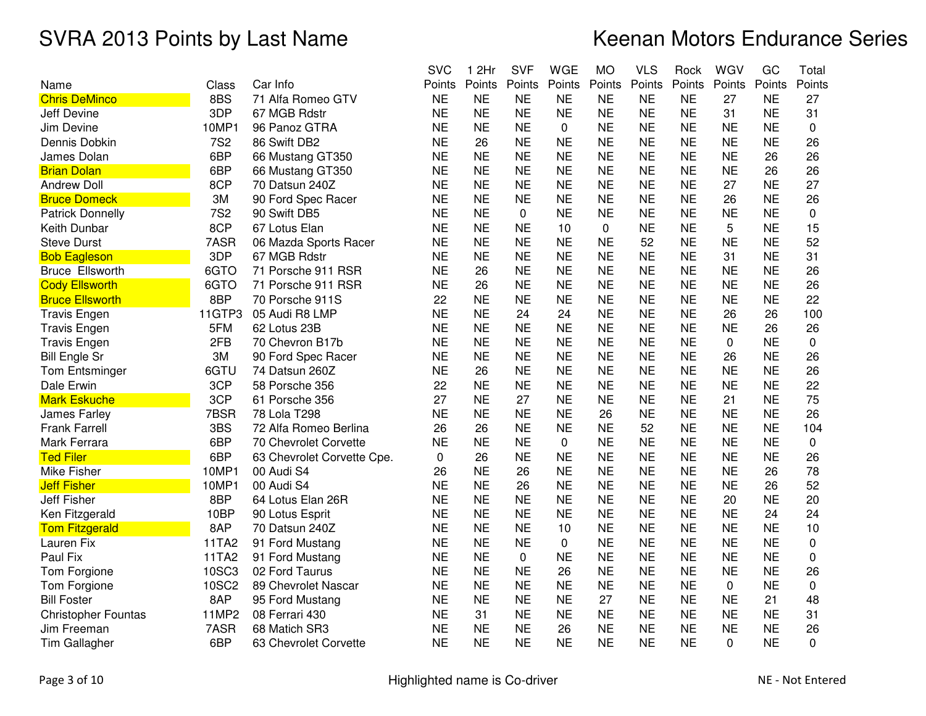|                            |            |                            | <b>SVC</b>   | 1 2Hr     | <b>SVF</b> | <b>WGE</b>  | <b>MO</b>   | <b>VLS</b> | Rock      | WGV       | GC        | Total    |
|----------------------------|------------|----------------------------|--------------|-----------|------------|-------------|-------------|------------|-----------|-----------|-----------|----------|
| Name                       | Class      | Car Info                   | Points       | Points    | Points     | Points      | Points      | Points     | Points    | Points    | Points    | Points   |
| <b>Chris DeMinco</b>       | 8BS        | 71 Alfa Romeo GTV          | <b>NE</b>    | <b>NE</b> | <b>NE</b>  | <b>NE</b>   | <b>NE</b>   | <b>NE</b>  | <b>NE</b> | 27        | <b>NE</b> | 27       |
| Jeff Devine                | 3DP        | 67 MGB Rdstr               | <b>NE</b>    | <b>NE</b> | <b>NE</b>  | <b>NE</b>   | <b>NE</b>   | <b>NE</b>  | <b>NE</b> | 31        | <b>NE</b> | 31       |
| Jim Devine                 | 10MP1      | 96 Panoz GTRA              | <b>NE</b>    | <b>NE</b> | <b>NE</b>  | $\mathbf 0$ | <b>NE</b>   | <b>NE</b>  | <b>NE</b> | <b>NE</b> | <b>NE</b> | 0        |
| Dennis Dobkin              | <b>7S2</b> | 86 Swift DB2               | <b>NE</b>    | 26        | <b>NE</b>  | <b>NE</b>   | <b>NE</b>   | <b>NE</b>  | <b>NE</b> | <b>NE</b> | <b>NE</b> | 26       |
| James Dolan                | 6BP        | 66 Mustang GT350           | <b>NE</b>    | <b>NE</b> | <b>NE</b>  | <b>NE</b>   | <b>NE</b>   | <b>NE</b>  | <b>NE</b> | <b>NE</b> | 26        | 26       |
| <b>Brian Dolan</b>         | 6BP        | 66 Mustang GT350           | <b>NE</b>    | <b>NE</b> | <b>NE</b>  | <b>NE</b>   | <b>NE</b>   | <b>NE</b>  | <b>NE</b> | <b>NE</b> | 26        | 26       |
| <b>Andrew Doll</b>         | 8CP        | 70 Datsun 240Z             | <b>NE</b>    | <b>NE</b> | <b>NE</b>  | <b>NE</b>   | <b>NE</b>   | <b>NE</b>  | <b>NE</b> | 27        | <b>NE</b> | 27       |
| <b>Bruce Domeck</b>        | 3M         | 90 Ford Spec Racer         | <b>NE</b>    | <b>NE</b> | <b>NE</b>  | <b>NE</b>   | <b>NE</b>   | <b>NE</b>  | <b>NE</b> | 26        | <b>NE</b> | 26       |
| <b>Patrick Donnelly</b>    | <b>7S2</b> | 90 Swift DB5               | <b>NE</b>    | <b>NE</b> | 0          | <b>NE</b>   | <b>NE</b>   | <b>NE</b>  | <b>NE</b> | <b>NE</b> | <b>NE</b> | 0        |
| Keith Dunbar               | 8CP        | 67 Lotus Elan              | <b>NE</b>    | <b>NE</b> | <b>NE</b>  | 10          | $\mathbf 0$ | <b>NE</b>  | <b>NE</b> | 5         | <b>NE</b> | 15       |
| <b>Steve Durst</b>         | 7ASR       | 06 Mazda Sports Racer      | <b>NE</b>    | <b>NE</b> | <b>NE</b>  | <b>NE</b>   | <b>NE</b>   | 52         | <b>NE</b> | <b>NE</b> | <b>NE</b> | 52       |
| <b>Bob Eagleson</b>        | 3DP        | 67 MGB Rdstr               | <b>NE</b>    | <b>NE</b> | <b>NE</b>  | <b>NE</b>   | <b>NE</b>   | <b>NE</b>  | <b>NE</b> | 31        | <b>NE</b> | 31       |
| <b>Bruce Ellsworth</b>     | 6GTO       | 71 Porsche 911 RSR         | <b>NE</b>    | 26        | <b>NE</b>  | <b>NE</b>   | <b>NE</b>   | <b>NE</b>  | <b>NE</b> | <b>NE</b> | <b>NE</b> | 26       |
| <b>Cody Ellsworth</b>      | 6GTO       | 71 Porsche 911 RSR         | <b>NE</b>    | 26        | <b>NE</b>  | <b>NE</b>   | <b>NE</b>   | <b>NE</b>  | <b>NE</b> | <b>NE</b> | <b>NE</b> | 26       |
| <b>Bruce Ellsworth</b>     | 8BP        | 70 Porsche 911S            | 22           | <b>NE</b> | <b>NE</b>  | <b>NE</b>   | <b>NE</b>   | <b>NE</b>  | <b>NE</b> | <b>NE</b> | <b>NE</b> | 22       |
| <b>Travis Engen</b>        | 11GTP3     | 05 Audi R8 LMP             | <b>NE</b>    | <b>NE</b> | 24         | 24          | <b>NE</b>   | <b>NE</b>  | <b>NE</b> | 26        | 26        | 100      |
| <b>Travis Engen</b>        | 5FM        | 62 Lotus 23B               | <b>NE</b>    | <b>NE</b> | <b>NE</b>  | <b>NE</b>   | <b>NE</b>   | <b>NE</b>  | <b>NE</b> | <b>NE</b> | 26        | 26       |
| <b>Travis Engen</b>        | 2FB        | 70 Chevron B17b            | <b>NE</b>    | <b>NE</b> | <b>NE</b>  | <b>NE</b>   | <b>NE</b>   | <b>NE</b>  | <b>NE</b> | 0         | <b>NE</b> | 0        |
| <b>Bill Engle Sr</b>       | 3M         | 90 Ford Spec Racer         | <b>NE</b>    | <b>NE</b> | <b>NE</b>  | <b>NE</b>   | <b>NE</b>   | <b>NE</b>  | <b>NE</b> | 26        | <b>NE</b> | 26       |
| <b>Tom Entsminger</b>      | 6GTU       | 74 Datsun 260Z             | <b>NE</b>    | 26        | <b>NE</b>  | <b>NE</b>   | <b>NE</b>   | <b>NE</b>  | <b>NE</b> | <b>NE</b> | <b>NE</b> | 26       |
| Dale Erwin                 | 3CP        | 58 Porsche 356             | 22           | <b>NE</b> | <b>NE</b>  | <b>NE</b>   | <b>NE</b>   | <b>NE</b>  | <b>NE</b> | <b>NE</b> | <b>NE</b> | 22       |
| <b>Mark Eskuche</b>        | 3CP        | 61 Porsche 356             | 27           | <b>NE</b> | 27         | <b>NE</b>   | <b>NE</b>   | <b>NE</b>  | <b>NE</b> | 21        | <b>NE</b> | 75       |
| James Farley               | 7BSR       | 78 Lola T298               | <b>NE</b>    | <b>NE</b> | <b>NE</b>  | <b>NE</b>   | 26          | <b>NE</b>  | <b>NE</b> | <b>NE</b> | <b>NE</b> | 26       |
| <b>Frank Farrell</b>       | 3BS        | 72 Alfa Romeo Berlina      | 26           | 26        | <b>NE</b>  | <b>NE</b>   | <b>NE</b>   | 52         | <b>NE</b> | <b>NE</b> | <b>NE</b> | 104      |
| Mark Ferrara               | 6BP        | 70 Chevrolet Corvette      | <b>NE</b>    | <b>NE</b> | <b>NE</b>  | $\mathbf 0$ | <b>NE</b>   | <b>NE</b>  | <b>NE</b> | <b>NE</b> | <b>NE</b> | 0        |
| <b>Ted Filer</b>           | 6BP        | 63 Chevrolet Corvette Cpe. | $\mathbf{0}$ | 26        | <b>NE</b>  | <b>NE</b>   | <b>NE</b>   | <b>NE</b>  | <b>NE</b> | <b>NE</b> | <b>NE</b> | 26       |
| Mike Fisher                | 10MP1      | 00 Audi S4                 | 26           | <b>NE</b> | 26         | <b>NE</b>   | <b>NE</b>   | <b>NE</b>  | <b>NE</b> | <b>NE</b> | 26        | 78       |
| <b>Jeff Fisher</b>         | 10MP1      | 00 Audi S4                 | <b>NE</b>    | <b>NE</b> | 26         | <b>NE</b>   | <b>NE</b>   | <b>NE</b>  | <b>NE</b> | <b>NE</b> | 26        | 52       |
| <b>Jeff Fisher</b>         | 8BP        | 64 Lotus Elan 26R          | <b>NE</b>    | <b>NE</b> | <b>NE</b>  | <b>NE</b>   | <b>NE</b>   | <b>NE</b>  | <b>NE</b> | 20        | <b>NE</b> | 20       |
| Ken Fitzgerald             | 10BP       | 90 Lotus Esprit            | <b>NE</b>    | <b>NE</b> | <b>NE</b>  | <b>NE</b>   | <b>NE</b>   | <b>NE</b>  | <b>NE</b> | <b>NE</b> | 24        | 24       |
| <b>Tom Fitzgerald</b>      | 8AP        | 70 Datsun 240Z             | <b>NE</b>    | <b>NE</b> | <b>NE</b>  | 10          | <b>NE</b>   | <b>NE</b>  | <b>NE</b> | <b>NE</b> | <b>NE</b> | 10       |
| Lauren Fix                 | 11TA2      | 91 Ford Mustang            | <b>NE</b>    | <b>NE</b> | <b>NE</b>  | $\pmb{0}$   | <b>NE</b>   | <b>NE</b>  | <b>NE</b> | <b>NE</b> | <b>NE</b> | 0        |
| Paul Fix                   | 11TA2      | 91 Ford Mustang            | <b>NE</b>    | <b>NE</b> | 0          | <b>NE</b>   | <b>NE</b>   | <b>NE</b>  | <b>NE</b> | <b>NE</b> | <b>NE</b> | 0        |
| Tom Forgione               | 10SC3      | 02 Ford Taurus             | <b>NE</b>    | <b>NE</b> | <b>NE</b>  | 26          | <b>NE</b>   | <b>NE</b>  | <b>NE</b> | <b>NE</b> | <b>NE</b> | 26       |
| Tom Forgione               | 10SC2      | 89 Chevrolet Nascar        | <b>NE</b>    | <b>NE</b> | <b>NE</b>  | <b>NE</b>   | <b>NE</b>   | <b>NE</b>  | <b>NE</b> | 0         | <b>NE</b> | 0        |
| <b>Bill Foster</b>         | 8AP        | 95 Ford Mustang            | <b>NE</b>    | <b>NE</b> | <b>NE</b>  | <b>NE</b>   | 27          | <b>NE</b>  | <b>NE</b> | <b>NE</b> | 21        | 48       |
| <b>Christopher Fountas</b> | 11MP2      | 08 Ferrari 430             | <b>NE</b>    | 31        | <b>NE</b>  | <b>NE</b>   | <b>NE</b>   | <b>NE</b>  | <b>NE</b> | <b>NE</b> | <b>NE</b> | 31       |
| Jim Freeman                | 7ASR       | 68 Matich SR3              | <b>NE</b>    | <b>NE</b> | <b>NE</b>  | 26          | <b>NE</b>   | <b>NE</b>  | <b>NE</b> | <b>NE</b> | <b>NE</b> | 26       |
| Tim Gallagher              | 6BP        | 63 Chevrolet Corvette      | <b>NE</b>    | <b>NE</b> | <b>NE</b>  | <b>NE</b>   | <b>NE</b>   | <b>NE</b>  | <b>NE</b> | 0         | <b>NE</b> | $\Omega$ |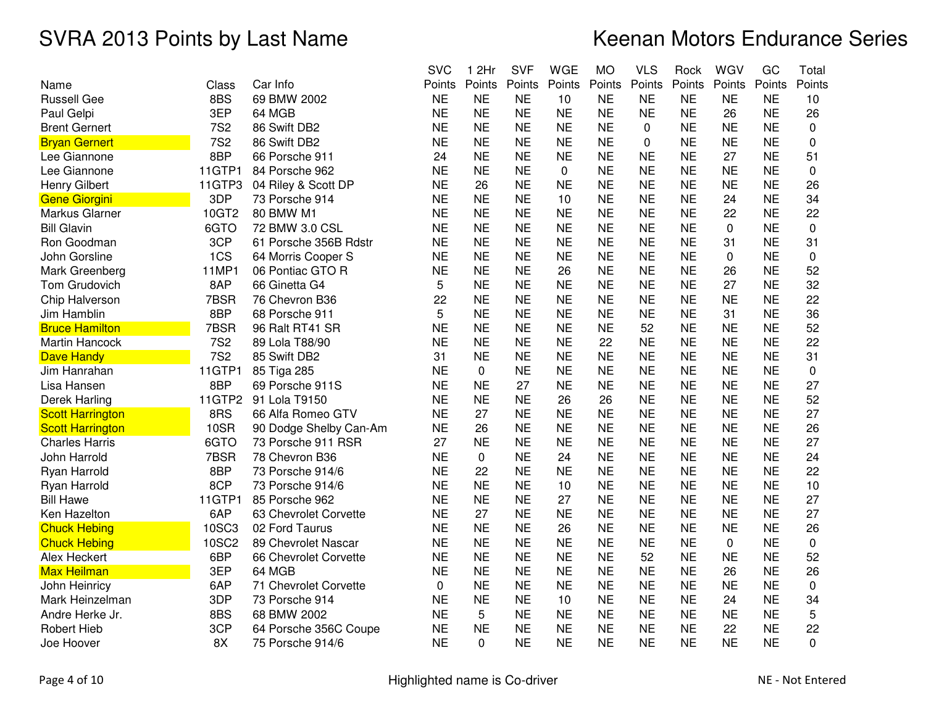|                         |              |                        | <b>SVC</b>  | 1 2Hr       | <b>SVF</b> | <b>WGE</b> | <b>MO</b> | <b>VLS</b> | Rock      | WGV          | GC        | Total       |
|-------------------------|--------------|------------------------|-------------|-------------|------------|------------|-----------|------------|-----------|--------------|-----------|-------------|
| Name                    | Class        | Car Info               | Points      | Points      | Points     | Points     | Points    | Points     | Points    | Points       | Points    | Points      |
| <b>Russell Gee</b>      | 8BS          | 69 BMW 2002            | <b>NE</b>   | <b>NE</b>   | <b>NE</b>  | 10         | <b>NE</b> | <b>NE</b>  | <b>NE</b> | <b>NE</b>    | <b>NE</b> | 10          |
| Paul Gelpi              | 3EP          | 64 MGB                 | <b>NE</b>   | <b>NE</b>   | <b>NE</b>  | <b>NE</b>  | <b>NE</b> | <b>NE</b>  | <b>NE</b> | 26           | <b>NE</b> | 26          |
| <b>Brent Gernert</b>    | <b>7S2</b>   | 86 Swift DB2           | <b>NE</b>   | <b>NE</b>   | <b>NE</b>  | <b>NE</b>  | <b>NE</b> | 0          | <b>NE</b> | <b>NE</b>    | <b>NE</b> | 0           |
| <b>Bryan Gernert</b>    | <b>7S2</b>   | 86 Swift DB2           | <b>NE</b>   | <b>NE</b>   | <b>NE</b>  | <b>NE</b>  | <b>NE</b> | 0          | <b>NE</b> | <b>NE</b>    | <b>NE</b> | 0           |
| Lee Giannone            | 8BP          | 66 Porsche 911         | 24          | <b>NE</b>   | <b>NE</b>  | <b>NE</b>  | <b>NE</b> | <b>NE</b>  | <b>NE</b> | 27           | <b>NE</b> | 51          |
| Lee Giannone            | 11GTP1       | 84 Porsche 962         | <b>NE</b>   | <b>NE</b>   | <b>NE</b>  | 0          | <b>NE</b> | <b>NE</b>  | <b>NE</b> | <b>NE</b>    | <b>NE</b> | $\Omega$    |
| Henry Gilbert           | 11GTP3       | 04 Riley & Scott DP    | <b>NE</b>   | 26          | <b>NE</b>  | <b>NE</b>  | <b>NE</b> | <b>NE</b>  | <b>NE</b> | <b>NE</b>    | <b>NE</b> | 26          |
| <b>Gene Giorgini</b>    | 3DP          | 73 Porsche 914         | <b>NE</b>   | <b>NE</b>   | <b>NE</b>  | 10         | <b>NE</b> | <b>NE</b>  | <b>NE</b> | 24           | <b>NE</b> | 34          |
| Markus Glarner          | 10GT2        | 80 BMW M1              | <b>NE</b>   | <b>NE</b>   | <b>NE</b>  | <b>NE</b>  | <b>NE</b> | <b>NE</b>  | <b>NE</b> | 22           | <b>NE</b> | 22          |
| <b>Bill Glavin</b>      | 6GTO         | 72 BMW 3.0 CSL         | <b>NE</b>   | <b>NE</b>   | <b>NE</b>  | <b>NE</b>  | <b>NE</b> | <b>NE</b>  | <b>NE</b> | $\mathbf 0$  | <b>NE</b> | $\mathbf 0$ |
| Ron Goodman             | 3CP          | 61 Porsche 356B Rdstr  | <b>NE</b>   | <b>NE</b>   | <b>NE</b>  | <b>NE</b>  | <b>NE</b> | <b>NE</b>  | <b>NE</b> | 31           | <b>NE</b> | 31          |
| John Gorsline           | 1CS          | 64 Morris Cooper S     | <b>NE</b>   | <b>NE</b>   | <b>NE</b>  | <b>NE</b>  | <b>NE</b> | <b>NE</b>  | <b>NE</b> | $\mathbf{0}$ | <b>NE</b> | 0           |
| Mark Greenberg          | 11MP1        | 06 Pontiac GTO R       | <b>NE</b>   | <b>NE</b>   | <b>NE</b>  | 26         | <b>NE</b> | <b>NE</b>  | <b>NE</b> | 26           | <b>NE</b> | 52          |
| Tom Grudovich           | 8AP          | 66 Ginetta G4          | 5           | <b>NE</b>   | <b>NE</b>  | <b>NE</b>  | <b>NE</b> | <b>NE</b>  | <b>NE</b> | 27           | <b>NE</b> | 32          |
| Chip Halverson          | 7BSR         | 76 Chevron B36         | 22          | <b>NE</b>   | <b>NE</b>  | <b>NE</b>  | <b>NE</b> | <b>NE</b>  | <b>NE</b> | <b>NE</b>    | <b>NE</b> | 22          |
| Jim Hamblin             | 8BP          | 68 Porsche 911         | 5           | <b>NE</b>   | <b>NE</b>  | <b>NE</b>  | <b>NE</b> | <b>NE</b>  | <b>NE</b> | 31           | <b>NE</b> | 36          |
| <b>Bruce Hamilton</b>   | 7BSR         | 96 Ralt RT41 SR        | <b>NE</b>   | <b>NE</b>   | <b>NE</b>  | <b>NE</b>  | <b>NE</b> | 52         | <b>NE</b> | <b>NE</b>    | <b>NE</b> | 52          |
| <b>Martin Hancock</b>   | <b>7S2</b>   | 89 Lola T88/90         | <b>NE</b>   | <b>NE</b>   | <b>NE</b>  | <b>NE</b>  | 22        | <b>NE</b>  | <b>NE</b> | <b>NE</b>    | <b>NE</b> | 22          |
| Dave Handy              | <b>7S2</b>   | 85 Swift DB2           | 31          | <b>NE</b>   | <b>NE</b>  | <b>NE</b>  | <b>NE</b> | <b>NE</b>  | <b>NE</b> | <b>NE</b>    | <b>NE</b> | 31          |
| Jim Hanrahan            | 11GTP1       | 85 Tiga 285            | <b>NE</b>   | 0           | <b>NE</b>  | <b>NE</b>  | <b>NE</b> | <b>NE</b>  | <b>NE</b> | <b>NE</b>    | <b>NE</b> | 0           |
| Lisa Hansen             | 8BP          | 69 Porsche 911S        | <b>NE</b>   | <b>NE</b>   | 27         | <b>NE</b>  | <b>NE</b> | <b>NE</b>  | <b>NE</b> | <b>NE</b>    | <b>NE</b> | 27          |
| Derek Harling           | 11GTP2       | 91 Lola T9150          | <b>NE</b>   | <b>NE</b>   | <b>NE</b>  | 26         | 26        | <b>NE</b>  | <b>NE</b> | <b>NE</b>    | <b>NE</b> | 52          |
| <b>Scott Harrington</b> | 8RS          | 66 Alfa Romeo GTV      | <b>NE</b>   | 27          | <b>NE</b>  | <b>NE</b>  | <b>NE</b> | <b>NE</b>  | <b>NE</b> | <b>NE</b>    | <b>NE</b> | 27          |
| <b>Scott Harrington</b> | <b>10SR</b>  | 90 Dodge Shelby Can-Am | <b>NE</b>   | 26          | <b>NE</b>  | <b>NE</b>  | <b>NE</b> | <b>NE</b>  | <b>NE</b> | <b>NE</b>    | <b>NE</b> | 26          |
| <b>Charles Harris</b>   | 6GTO         | 73 Porsche 911 RSR     | 27          | <b>NE</b>   | <b>NE</b>  | <b>NE</b>  | <b>NE</b> | <b>NE</b>  | <b>NE</b> | <b>NE</b>    | <b>NE</b> | 27          |
| John Harrold            | 7BSR         | 78 Chevron B36         | <b>NE</b>   | $\mathbf 0$ | <b>NE</b>  | 24         | <b>NE</b> | <b>NE</b>  | <b>NE</b> | <b>NE</b>    | <b>NE</b> | 24          |
| Ryan Harrold            | 8BP          | 73 Porsche 914/6       | <b>NE</b>   | 22          | <b>NE</b>  | <b>NE</b>  | <b>NE</b> | <b>NE</b>  | <b>NE</b> | <b>NE</b>    | <b>NE</b> | 22          |
| Ryan Harrold            | 8CP          | 73 Porsche 914/6       | <b>NE</b>   | <b>NE</b>   | <b>NE</b>  | 10         | <b>NE</b> | <b>NE</b>  | <b>NE</b> | <b>NE</b>    | <b>NE</b> | 10          |
| <b>Bill Hawe</b>        | 11GTP1       | 85 Porsche 962         | <b>NE</b>   | <b>NE</b>   | <b>NE</b>  | 27         | <b>NE</b> | <b>NE</b>  | <b>NE</b> | <b>NE</b>    | <b>NE</b> | 27          |
| Ken Hazelton            | 6AP          | 63 Chevrolet Corvette  | <b>NE</b>   | 27          | <b>NE</b>  | <b>NE</b>  | <b>NE</b> | <b>NE</b>  | <b>NE</b> | <b>NE</b>    | <b>NE</b> | 27          |
| <b>Chuck Hebing</b>     | 10SC3        | 02 Ford Taurus         | <b>NE</b>   | <b>NE</b>   | <b>NE</b>  | 26         | <b>NE</b> | <b>NE</b>  | <b>NE</b> | <b>NE</b>    | <b>NE</b> | 26          |
| <b>Chuck Hebing</b>     | <b>10SC2</b> | 89 Chevrolet Nascar    | <b>NE</b>   | <b>NE</b>   | <b>NE</b>  | <b>NE</b>  | <b>NE</b> | <b>NE</b>  | <b>NE</b> | $\mathbf{0}$ | <b>NE</b> | $\mathbf 0$ |
| Alex Heckert            | 6BP          | 66 Chevrolet Corvette  | <b>NE</b>   | <b>NE</b>   | <b>NE</b>  | <b>NE</b>  | <b>NE</b> | 52         | <b>NE</b> | <b>NE</b>    | <b>NE</b> | 52          |
| <b>Max Heilman</b>      | 3EP          | 64 MGB                 | <b>NE</b>   | <b>NE</b>   | <b>NE</b>  | <b>NE</b>  | <b>NE</b> | <b>NE</b>  | <b>NE</b> | 26           | <b>NE</b> | 26          |
| John Heinricy           | 6AP          | 71 Chevrolet Corvette  | $\mathbf 0$ | <b>NE</b>   | <b>NE</b>  | <b>NE</b>  | <b>NE</b> | <b>NE</b>  | <b>NE</b> | <b>NE</b>    | <b>NE</b> | 0           |
| Mark Heinzelman         | 3DP          | 73 Porsche 914         | <b>NE</b>   | <b>NE</b>   | <b>NE</b>  | 10         | <b>NE</b> | <b>NE</b>  | <b>NE</b> | 24           | <b>NE</b> | 34          |
| Andre Herke Jr.         | 8BS          | 68 BMW 2002            | <b>NE</b>   | 5           | <b>NE</b>  | <b>NE</b>  | <b>NE</b> | <b>NE</b>  | <b>NE</b> | <b>NE</b>    | <b>NE</b> | 5           |
| <b>Robert Hieb</b>      | 3CP          | 64 Porsche 356C Coupe  | <b>NE</b>   | <b>NE</b>   | <b>NE</b>  | <b>NE</b>  | <b>NE</b> | <b>NE</b>  | <b>NE</b> | 22           | <b>NE</b> | 22          |
| Joe Hoover              | 8X           | 75 Porsche 914/6       | <b>NE</b>   | $\mathbf 0$ | <b>NE</b>  | <b>NE</b>  | <b>NE</b> | <b>NE</b>  | <b>NE</b> | <b>NE</b>    | <b>NE</b> | 0           |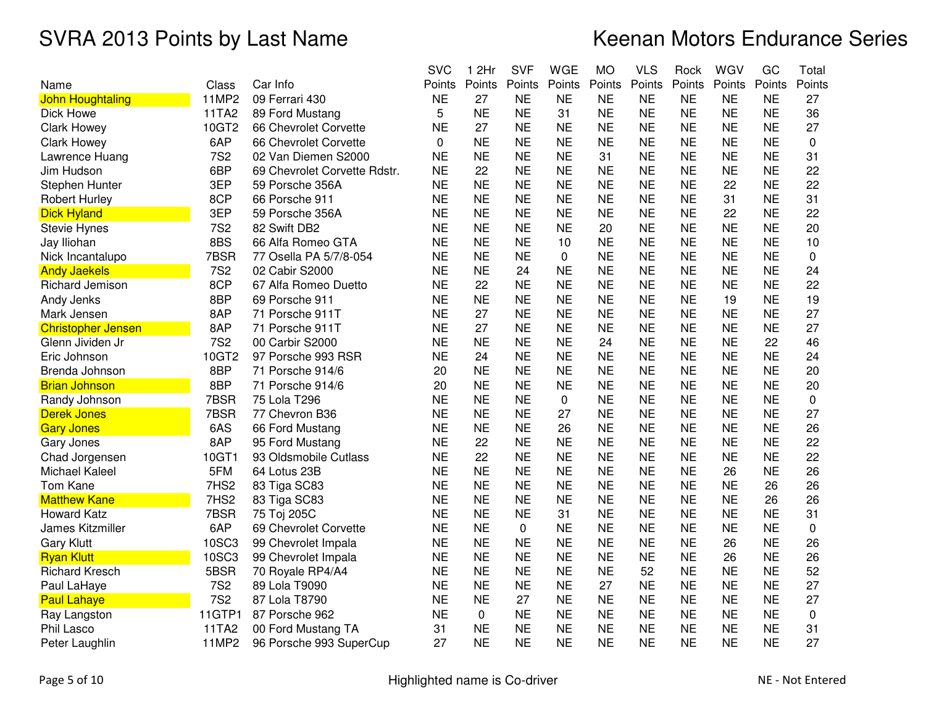|                           |                  |                              | <b>SVC</b> | 1 2Hr     | <b>SVF</b> | <b>WGE</b>  | <b>MO</b> | <b>VLS</b> | Rock      | WGV       | GC        | Total       |
|---------------------------|------------------|------------------------------|------------|-----------|------------|-------------|-----------|------------|-----------|-----------|-----------|-------------|
| Name                      | Class            | Car Info                     | Points     | Points    | Points     | Points      | Points    | Points     | Points    | Points    | Points    | Points      |
| John Houghtaling          | 11MP2            | 09 Ferrari 430               | <b>NE</b>  | 27        | <b>NE</b>  | <b>NE</b>   | <b>NE</b> | <b>NE</b>  | <b>NE</b> | <b>NE</b> | <b>NE</b> | 27          |
| Dick Howe                 | 11TA2            | 89 Ford Mustang              | 5          | <b>NE</b> | <b>NE</b>  | 31          | <b>NE</b> | <b>NE</b>  | <b>NE</b> | <b>NE</b> | <b>NE</b> | 36          |
| <b>Clark Howey</b>        | 10GT2            | 66 Chevrolet Corvette        | <b>NE</b>  | 27        | <b>NE</b>  | <b>NE</b>   | <b>NE</b> | <b>NE</b>  | <b>NE</b> | <b>NE</b> | <b>NE</b> | 27          |
| <b>Clark Howey</b>        | 6AP              | 66 Chevrolet Corvette        | 0          | <b>NE</b> | <b>NE</b>  | <b>NE</b>   | <b>NE</b> | <b>NE</b>  | <b>NE</b> | <b>NE</b> | <b>NE</b> | 0           |
| Lawrence Huang            | <b>7S2</b>       | 02 Van Diemen S2000          | <b>NE</b>  | <b>NE</b> | <b>NE</b>  | <b>NE</b>   | 31        | <b>NE</b>  | <b>NE</b> | <b>NE</b> | <b>NE</b> | 31          |
| Jim Hudson                | 6BP              | 69 Chevrolet Corvette Rdstr. | <b>NE</b>  | 22        | <b>NE</b>  | <b>NE</b>   | <b>NE</b> | <b>NE</b>  | <b>NE</b> | <b>NE</b> | <b>NE</b> | 22          |
| Stephen Hunter            | 3EP              | 59 Porsche 356A              | <b>NE</b>  | <b>NE</b> | <b>NE</b>  | <b>NE</b>   | <b>NE</b> | <b>NE</b>  | <b>NE</b> | 22        | <b>NE</b> | 22          |
| <b>Robert Hurley</b>      | 8CP              | 66 Porsche 911               | <b>NE</b>  | <b>NE</b> | <b>NE</b>  | <b>NE</b>   | <b>NE</b> | <b>NE</b>  | <b>NE</b> | 31        | <b>NE</b> | 31          |
| <b>Dick Hyland</b>        | 3EP              | 59 Porsche 356A              | <b>NE</b>  | <b>NE</b> | <b>NE</b>  | <b>NE</b>   | <b>NE</b> | <b>NE</b>  | <b>NE</b> | 22        | <b>NE</b> | 22          |
| <b>Stevie Hynes</b>       | <b>7S2</b>       | 82 Swift DB2                 | <b>NE</b>  | <b>NE</b> | <b>NE</b>  | <b>NE</b>   | 20        | <b>NE</b>  | <b>NE</b> | <b>NE</b> | <b>NE</b> | 20          |
| Jay Iliohan               | 8BS              | 66 Alfa Romeo GTA            | <b>NE</b>  | <b>NE</b> | <b>NE</b>  | 10          | <b>NE</b> | <b>NE</b>  | <b>NE</b> | <b>NE</b> | <b>NE</b> | 10          |
| Nick Incantalupo          | 7BSR             | 77 Osella PA 5/7/8-054       | <b>NE</b>  | <b>NE</b> | <b>NE</b>  | $\mathbf 0$ | <b>NE</b> | <b>NE</b>  | <b>NE</b> | <b>NE</b> | <b>NE</b> | 0           |
| <b>Andy Jaekels</b>       | <b>7S2</b>       | 02 Cabir S2000               | <b>NE</b>  | <b>NE</b> | 24         | <b>NE</b>   | <b>NE</b> | <b>NE</b>  | <b>NE</b> | <b>NE</b> | <b>NE</b> | 24          |
| Richard Jemison           | 8CP              | 67 Alfa Romeo Duetto         | <b>NE</b>  | 22        | <b>NE</b>  | <b>NE</b>   | <b>NE</b> | <b>NE</b>  | <b>NE</b> | <b>NE</b> | <b>NE</b> | 22          |
| Andy Jenks                | 8BP              | 69 Porsche 911               | <b>NE</b>  | <b>NE</b> | <b>NE</b>  | <b>NE</b>   | <b>NE</b> | <b>NE</b>  | <b>NE</b> | 19        | <b>NE</b> | 19          |
| Mark Jensen               | 8AP              | 71 Porsche 911T              | <b>NE</b>  | 27        | <b>NE</b>  | <b>NE</b>   | <b>NE</b> | <b>NE</b>  | <b>NE</b> | <b>NE</b> | <b>NE</b> | 27          |
| <b>Christopher Jensen</b> | 8AP              | 71 Porsche 911T              | <b>NE</b>  | 27        | <b>NE</b>  | <b>NE</b>   | <b>NE</b> | <b>NE</b>  | <b>NE</b> | <b>NE</b> | <b>NE</b> | 27          |
| Glenn Jividen Jr          | <b>7S2</b>       | 00 Carbir S2000              | <b>NE</b>  | <b>NE</b> | <b>NE</b>  | <b>NE</b>   | 24        | <b>NE</b>  | <b>NE</b> | <b>NE</b> | 22        | 46          |
| Eric Johnson              | 10GT2            | 97 Porsche 993 RSR           | <b>NE</b>  | 24        | <b>NE</b>  | <b>NE</b>   | <b>NE</b> | <b>NE</b>  | <b>NE</b> | <b>NE</b> | <b>NE</b> | 24          |
| Brenda Johnson            | 8BP              | 71 Porsche 914/6             | 20         | <b>NE</b> | <b>NE</b>  | <b>NE</b>   | <b>NE</b> | <b>NE</b>  | <b>NE</b> | <b>NE</b> | <b>NE</b> | 20          |
| <b>Brian Johnson</b>      | 8BP              | 71 Porsche 914/6             | 20         | <b>NE</b> | <b>NE</b>  | <b>NE</b>   | <b>NE</b> | <b>NE</b>  | <b>NE</b> | <b>NE</b> | <b>NE</b> | 20          |
| Randy Johnson             | 7BSR             | 75 Lola T296                 | <b>NE</b>  | <b>NE</b> | <b>NE</b>  | $\mathbf 0$ | <b>NE</b> | <b>NE</b>  | <b>NE</b> | <b>NE</b> | <b>NE</b> | $\mathbf 0$ |
| <b>Derek Jones</b>        | 7BSR             | 77 Chevron B36               | <b>NE</b>  | <b>NE</b> | <b>NE</b>  | 27          | <b>NE</b> | <b>NE</b>  | <b>NE</b> | <b>NE</b> | <b>NE</b> | 27          |
| <b>Gary Jones</b>         | 6AS              | 66 Ford Mustang              | <b>NE</b>  | <b>NE</b> | <b>NE</b>  | 26          | <b>NE</b> | <b>NE</b>  | <b>NE</b> | <b>NE</b> | <b>NE</b> | 26          |
| Gary Jones                | 8AP              | 95 Ford Mustang              | <b>NE</b>  | 22        | <b>NE</b>  | <b>NE</b>   | <b>NE</b> | <b>NE</b>  | <b>NE</b> | <b>NE</b> | <b>NE</b> | 22          |
| Chad Jorgensen            | 10GT1            | 93 Oldsmobile Cutlass        | <b>NE</b>  | 22        | <b>NE</b>  | <b>NE</b>   | <b>NE</b> | <b>NE</b>  | <b>NE</b> | <b>NE</b> | <b>NE</b> | 22          |
| Michael Kaleel            | 5FM              | 64 Lotus 23B                 | <b>NE</b>  | <b>NE</b> | <b>NE</b>  | <b>NE</b>   | <b>NE</b> | <b>NE</b>  | <b>NE</b> | 26        | <b>NE</b> | 26          |
| Tom Kane                  | 7HS <sub>2</sub> | 83 Tiga SC83                 | <b>NE</b>  | <b>NE</b> | <b>NE</b>  | <b>NE</b>   | <b>NE</b> | <b>NE</b>  | <b>NE</b> | <b>NE</b> | 26        | 26          |
| <b>Matthew Kane</b>       | 7HS2             | 83 Tiga SC83                 | <b>NE</b>  | <b>NE</b> | <b>NE</b>  | <b>NE</b>   | <b>NE</b> | <b>NE</b>  | <b>NE</b> | <b>NE</b> | 26        | 26          |
| <b>Howard Katz</b>        | 7BSR             | 75 Toj 205C                  | <b>NE</b>  | <b>NE</b> | <b>NE</b>  | 31          | <b>NE</b> | <b>NE</b>  | <b>NE</b> | <b>NE</b> | <b>NE</b> | 31          |
| James Kitzmiller          | 6AP              | 69 Chevrolet Corvette        | <b>NE</b>  | <b>NE</b> | 0          | <b>NE</b>   | <b>NE</b> | <b>NE</b>  | <b>NE</b> | <b>NE</b> | <b>NE</b> | 0           |
| <b>Gary Klutt</b>         | 10SC3            | 99 Chevrolet Impala          | <b>NE</b>  | <b>NE</b> | <b>NE</b>  | <b>NE</b>   | <b>NE</b> | <b>NE</b>  | <b>NE</b> | 26        | <b>NE</b> | 26          |
| <b>Ryan Klutt</b>         | 10SC3            | 99 Chevrolet Impala          | <b>NE</b>  | <b>NE</b> | <b>NE</b>  | <b>NE</b>   | <b>NE</b> | <b>NE</b>  | <b>NE</b> | 26        | <b>NE</b> | 26          |
| <b>Richard Kresch</b>     | 5BSR             | 70 Royale RP4/A4             | <b>NE</b>  | <b>NE</b> | <b>NE</b>  | <b>NE</b>   | <b>NE</b> | 52         | <b>NE</b> | <b>NE</b> | <b>NE</b> | 52          |
| Paul LaHaye               | <b>7S2</b>       | 89 Lola T9090                | <b>NE</b>  | <b>NE</b> | <b>NE</b>  | <b>NE</b>   | 27        | <b>NE</b>  | <b>NE</b> | <b>NE</b> | <b>NE</b> | 27          |
| <b>Paul Lahaye</b>        | <b>7S2</b>       | 87 Lola T8790                | <b>NE</b>  | <b>NE</b> | 27         | <b>NE</b>   | <b>NE</b> | <b>NE</b>  | <b>NE</b> | <b>NE</b> | <b>NE</b> | 27          |
| Ray Langston              | 11GTP1           | 87 Porsche 962               | <b>NE</b>  | 0         | <b>NE</b>  | <b>NE</b>   | <b>NE</b> | <b>NE</b>  | <b>NE</b> | <b>NE</b> | <b>NE</b> | 0           |
| Phil Lasco                | 11TA2            | 00 Ford Mustang TA           | 31         | <b>NE</b> | <b>NE</b>  | <b>NE</b>   | <b>NE</b> | <b>NE</b>  | <b>NE</b> | <b>NE</b> | <b>NE</b> | 31          |
| Peter Laughlin            | 11MP2            | 96 Porsche 993 SuperCup      | 27         | <b>NE</b> | <b>NE</b>  | <b>NE</b>   | <b>NE</b> | <b>NE</b>  | <b>NE</b> | <b>NE</b> | <b>NE</b> | 27          |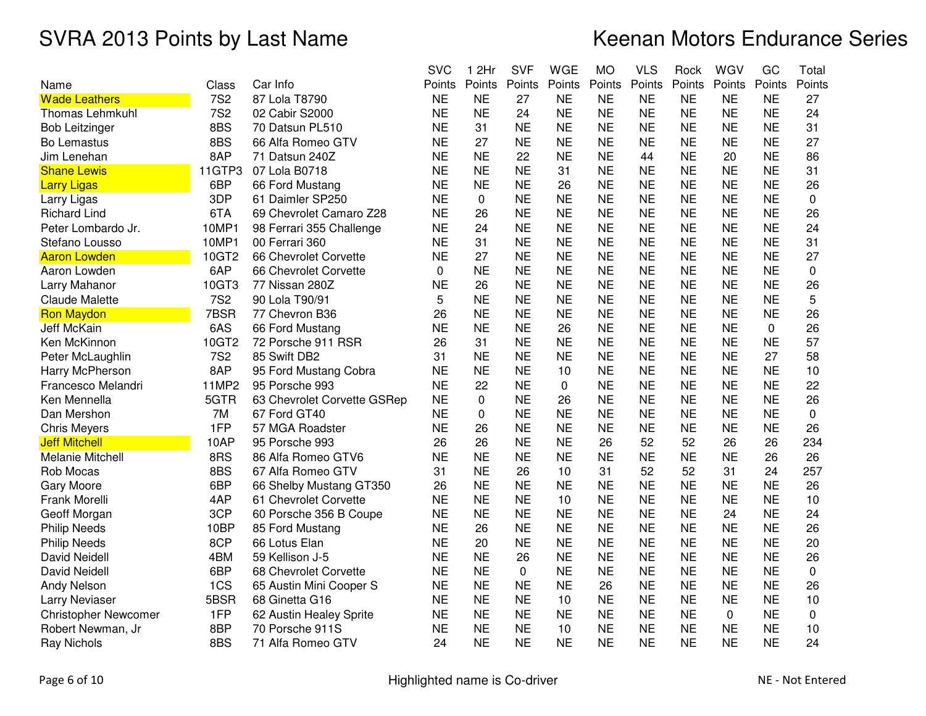|                             |                 |                             | <b>SVC</b> | 1 2Hr       | <b>SVF</b>  | <b>WGE</b> | <b>MO</b> | <b>VLS</b> | Rock      | WGV       | GC        | Total     |
|-----------------------------|-----------------|-----------------------------|------------|-------------|-------------|------------|-----------|------------|-----------|-----------|-----------|-----------|
| Name                        | Class           | Car Info                    | Points     | Points      | Points      | Points     | Points    | Points     | Points    | Points    | Points    | Points    |
| <b>Wade Leathers</b>        | <b>7S2</b>      | 87 Lola T8790               | <b>NE</b>  | <b>NE</b>   | 27          | <b>NE</b>  | <b>NE</b> | <b>NE</b>  | <b>NE</b> | <b>NE</b> | <b>NE</b> | 27        |
| <b>Thomas Lehmkuhl</b>      | <b>7S2</b>      | 02 Cabir S2000              | <b>NE</b>  | <b>NE</b>   | 24          | <b>NE</b>  | <b>NE</b> | <b>NE</b>  | <b>NE</b> | <b>NE</b> | <b>NE</b> | 24        |
| <b>Bob Leitzinger</b>       | 8BS             | 70 Datsun PL510             | <b>NE</b>  | 31          | <b>NE</b>   | <b>NE</b>  | <b>NE</b> | <b>NE</b>  | <b>NE</b> | <b>NE</b> | <b>NE</b> | 31        |
| Bo Lemastus                 | 8BS             | 66 Alfa Romeo GTV           | <b>NE</b>  | 27          | <b>NE</b>   | <b>NE</b>  | <b>NE</b> | <b>NE</b>  | <b>NE</b> | <b>NE</b> | <b>NE</b> | 27        |
| Jim Lenehan                 | 8AP             | 71 Datsun 240Z              | <b>NE</b>  | <b>NE</b>   | 22          | <b>NE</b>  | <b>NE</b> | 44         | <b>NE</b> | 20        | <b>NE</b> | 86        |
| <b>Shane Lewis</b>          | 11GTP3          | 07 Lola B0718               | <b>NE</b>  | <b>NE</b>   | <b>NE</b>   | 31         | <b>NE</b> | <b>NE</b>  | <b>NE</b> | <b>NE</b> | <b>NE</b> | 31        |
| <b>Larry Ligas</b>          | 6BP             | 66 Ford Mustang             | <b>NE</b>  | <b>NE</b>   | <b>NE</b>   | 26         | <b>NE</b> | <b>NE</b>  | <b>NE</b> | <b>NE</b> | <b>NE</b> | 26        |
| Larry Ligas                 | 3DP             | 61 Daimler SP250            | <b>NE</b>  | 0           | <b>NE</b>   | <b>NE</b>  | <b>NE</b> | <b>NE</b>  | <b>NE</b> | <b>NE</b> | <b>NE</b> | 0         |
| <b>Richard Lind</b>         | 6TA             | 69 Chevrolet Camaro Z28     | <b>NE</b>  | 26          | <b>NE</b>   | <b>NE</b>  | <b>NE</b> | <b>NE</b>  | <b>NE</b> | <b>NE</b> | <b>NE</b> | 26        |
| Peter Lombardo Jr.          | 10MP1           | 98 Ferrari 355 Challenge    | <b>NE</b>  | 24          | <b>NE</b>   | <b>NE</b>  | <b>NE</b> | <b>NE</b>  | <b>NE</b> | <b>NE</b> | <b>NE</b> | 24        |
| Stefano Lousso              | 10MP1           | 00 Ferrari 360              | <b>NE</b>  | 31          | <b>NE</b>   | <b>NE</b>  | <b>NE</b> | <b>NE</b>  | <b>NE</b> | <b>NE</b> | <b>NE</b> | 31        |
| <b>Aaron Lowden</b>         | 10GT2           | 66 Chevrolet Corvette       | <b>NE</b>  | 27          | <b>NE</b>   | <b>NE</b>  | <b>NE</b> | <b>NE</b>  | <b>NE</b> | <b>NE</b> | <b>NE</b> | 27        |
| Aaron Lowden                | 6AP             | 66 Chevrolet Corvette       | 0          | <b>NE</b>   | <b>NE</b>   | <b>NE</b>  | <b>NE</b> | <b>NE</b>  | <b>NE</b> | <b>NE</b> | <b>NE</b> | 0         |
| Larry Mahanor               | 10GT3           | 77 Nissan 280Z              | <b>NE</b>  | 26          | <b>NE</b>   | <b>NE</b>  | <b>NE</b> | <b>NE</b>  | <b>NE</b> | <b>NE</b> | <b>NE</b> | 26        |
| <b>Claude Malette</b>       | <b>7S2</b>      | 90 Lola T90/91              | 5          | <b>NE</b>   | <b>NE</b>   | <b>NE</b>  | <b>NE</b> | <b>NE</b>  | <b>NE</b> | <b>NE</b> | <b>NE</b> | 5         |
| <b>Ron Maydon</b>           | 7BSR            | 77 Chevron B36              | 26         | <b>NE</b>   | <b>NE</b>   | <b>NE</b>  | <b>NE</b> | <b>NE</b>  | <b>NE</b> | <b>NE</b> | <b>NE</b> | 26        |
| Jeff McKain                 | 6AS             | 66 Ford Mustang             | <b>NE</b>  | <b>NE</b>   | <b>NE</b>   | 26         | <b>NE</b> | <b>NE</b>  | <b>NE</b> | <b>NE</b> | 0         | 26        |
| Ken McKinnon                | 10GT2           | 72 Porsche 911 RSR          | 26         | 31          | <b>NE</b>   | <b>NE</b>  | <b>NE</b> | <b>NE</b>  | <b>NE</b> | <b>NE</b> | <b>NE</b> | 57        |
| Peter McLaughlin            | 7S <sub>2</sub> | 85 Swift DB2                | 31         | <b>NE</b>   | <b>NE</b>   | <b>NE</b>  | <b>NE</b> | <b>NE</b>  | <b>NE</b> | <b>NE</b> | 27        | 58        |
| Harry McPherson             | 8AP             | 95 Ford Mustang Cobra       | <b>NE</b>  | <b>NE</b>   | <b>NE</b>   | 10         | <b>NE</b> | <b>NE</b>  | <b>NE</b> | <b>NE</b> | <b>NE</b> | 10        |
| Francesco Melandri          | 11MP2           | 95 Porsche 993              | <b>NE</b>  | 22          | <b>NE</b>   | 0          | <b>NE</b> | <b>NE</b>  | <b>NE</b> | <b>NE</b> | <b>NE</b> | 22        |
| Ken Mennella                | 5GTR            | 63 Chevrolet Corvette GSRep | <b>NE</b>  | $\mathbf 0$ | <b>NE</b>   | 26         | <b>NE</b> | <b>NE</b>  | <b>NE</b> | <b>NE</b> | <b>NE</b> | 26        |
| Dan Mershon                 | 7M              | 67 Ford GT40                | <b>NE</b>  | 0           | <b>NE</b>   | <b>NE</b>  | <b>NE</b> | <b>NE</b>  | <b>NE</b> | <b>NE</b> | <b>NE</b> | $\pmb{0}$ |
| <b>Chris Meyers</b>         | 1FP             | 57 MGA Roadster             | <b>NE</b>  | 26          | <b>NE</b>   | <b>NE</b>  | <b>NE</b> | <b>NE</b>  | <b>NE</b> | <b>NE</b> | <b>NE</b> | 26        |
| <b>Jeff Mitchell</b>        | 10AP            | 95 Porsche 993              | 26         | 26          | <b>NE</b>   | <b>NE</b>  | 26        | 52         | 52        | 26        | 26        | 234       |
| <b>Melanie Mitchell</b>     | 8RS             | 86 Alfa Romeo GTV6          | <b>NE</b>  | <b>NE</b>   | <b>NE</b>   | <b>NE</b>  | <b>NE</b> | <b>NE</b>  | <b>NE</b> | <b>NE</b> | 26        | 26        |
| Rob Mocas                   | 8BS             | 67 Alfa Romeo GTV           | 31         | <b>NE</b>   | 26          | 10         | 31        | 52         | 52        | 31        | 24        | 257       |
| Gary Moore                  | 6BP             | 66 Shelby Mustang GT350     | 26         | <b>NE</b>   | <b>NE</b>   | <b>NE</b>  | <b>NE</b> | <b>NE</b>  | <b>NE</b> | <b>NE</b> | <b>NE</b> | 26        |
| Frank Morelli               | 4AP             | 61 Chevrolet Corvette       | <b>NE</b>  | <b>NE</b>   | <b>NE</b>   | 10         | <b>NE</b> | <b>NE</b>  | <b>NE</b> | <b>NE</b> | <b>NE</b> | 10        |
| Geoff Morgan                | 3CP             | 60 Porsche 356 B Coupe      | <b>NE</b>  | <b>NE</b>   | <b>NE</b>   | <b>NE</b>  | <b>NE</b> | <b>NE</b>  | <b>NE</b> | 24        | <b>NE</b> | 24        |
| <b>Philip Needs</b>         | 10BP            | 85 Ford Mustang             | <b>NE</b>  | 26          | <b>NE</b>   | <b>NE</b>  | <b>NE</b> | <b>NE</b>  | <b>NE</b> | <b>NE</b> | <b>NE</b> | 26        |
| <b>Philip Needs</b>         | 8CP             | 66 Lotus Elan               | <b>NE</b>  | 20          | <b>NE</b>   | <b>NE</b>  | <b>NE</b> | <b>NE</b>  | <b>NE</b> | <b>NE</b> | <b>NE</b> | 20        |
| David Neidell               | 4BM             | 59 Kellison J-5             | <b>NE</b>  | <b>NE</b>   | 26          | <b>NE</b>  | <b>NE</b> | <b>NE</b>  | <b>NE</b> | <b>NE</b> | <b>NE</b> | 26        |
| <b>David Neidell</b>        | 6BP             | 68 Chevrolet Corvette       | <b>NE</b>  | <b>NE</b>   | $\mathbf 0$ | <b>NE</b>  | <b>NE</b> | <b>NE</b>  | <b>NE</b> | <b>NE</b> | <b>NE</b> | 0         |
| <b>Andy Nelson</b>          | 1CS             | 65 Austin Mini Cooper S     | <b>NE</b>  | <b>NE</b>   | <b>NE</b>   | <b>NE</b>  | 26        | <b>NE</b>  | <b>NE</b> | <b>NE</b> | <b>NE</b> | 26        |
| <b>Larry Neviaser</b>       | 5BSR            | 68 Ginetta G16              | <b>NE</b>  | <b>NE</b>   | <b>NE</b>   | 10         | <b>NE</b> | <b>NE</b>  | <b>NE</b> | <b>NE</b> | <b>NE</b> | 10        |
| <b>Christopher Newcomer</b> | 1FP             | 62 Austin Healey Sprite     | <b>NE</b>  | <b>NE</b>   | <b>NE</b>   | <b>NE</b>  | <b>NE</b> | <b>NE</b>  | <b>NE</b> | 0         | <b>NE</b> | 0         |
| Robert Newman, Jr           | 8BP             | 70 Porsche 911S             | <b>NE</b>  | <b>NE</b>   | <b>NE</b>   | 10         | <b>NE</b> | <b>NE</b>  | <b>NE</b> | <b>NE</b> | <b>NE</b> | 10        |
| <b>Ray Nichols</b>          | 8BS             | 71 Alfa Romeo GTV           | 24         | <b>NE</b>   | <b>NE</b>   | <b>NE</b>  | <b>NE</b> | <b>NE</b>  | <b>NE</b> | <b>NE</b> | <b>NE</b> | 24        |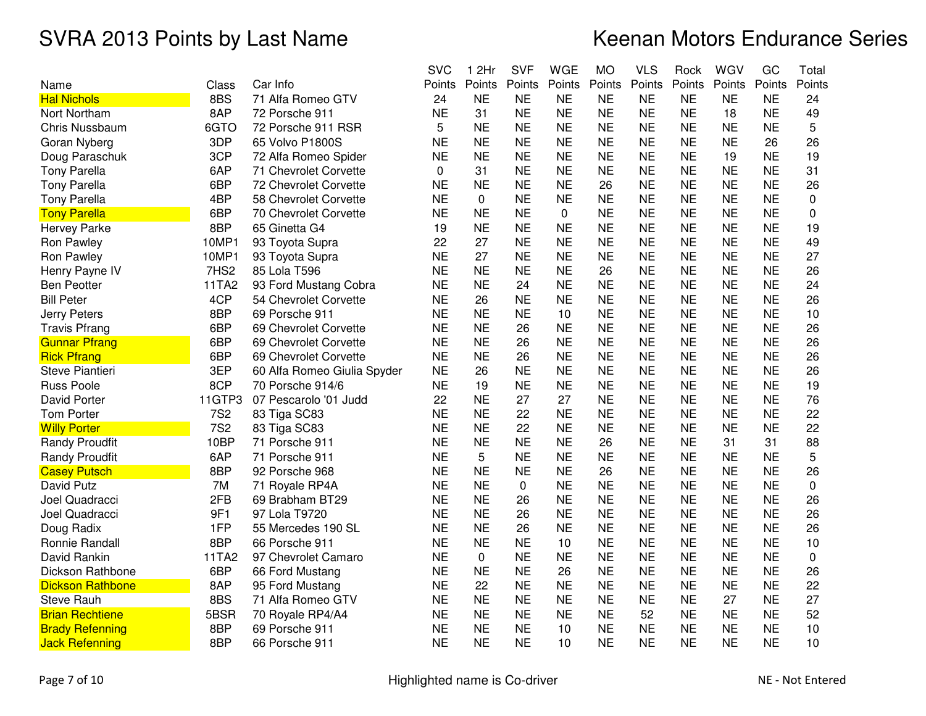|                         |            |                             | <b>SVC</b> | 1 2Hr     | <b>SVF</b> | <b>WGE</b>  | <b>MO</b> | <b>VLS</b> | Rock      | WGV       | GC        | Total  |
|-------------------------|------------|-----------------------------|------------|-----------|------------|-------------|-----------|------------|-----------|-----------|-----------|--------|
| Name                    | Class      | Car Info                    | Points     | Points    | Points     | Points      | Points    | Points     | Points    | Points    | Points    | Points |
| <b>Hal Nichols</b>      | 8BS        | 71 Alfa Romeo GTV           | 24         | <b>NE</b> | <b>NE</b>  | <b>NE</b>   | <b>NE</b> | <b>NE</b>  | <b>NE</b> | <b>NE</b> | <b>NE</b> | 24     |
| Nort Northam            | 8AP        | 72 Porsche 911              | <b>NE</b>  | 31        | <b>NE</b>  | <b>NE</b>   | <b>NE</b> | <b>NE</b>  | <b>NE</b> | 18        | <b>NE</b> | 49     |
| <b>Chris Nussbaum</b>   | 6GTO       | 72 Porsche 911 RSR          | 5          | <b>NE</b> | <b>NE</b>  | <b>NE</b>   | <b>NE</b> | <b>NE</b>  | <b>NE</b> | <b>NE</b> | <b>NE</b> | 5      |
| Goran Nyberg            | 3DP        | 65 Volvo P1800S             | <b>NE</b>  | <b>NE</b> | <b>NE</b>  | <b>NE</b>   | <b>NE</b> | <b>NE</b>  | <b>NE</b> | <b>NE</b> | 26        | 26     |
| Doug Paraschuk          | 3CP        | 72 Alfa Romeo Spider        | <b>NE</b>  | <b>NE</b> | <b>NE</b>  | <b>NE</b>   | <b>NE</b> | <b>NE</b>  | <b>NE</b> | 19        | <b>NE</b> | 19     |
| <b>Tony Parella</b>     | 6AP        | 71 Chevrolet Corvette       | 0          | 31        | <b>NE</b>  | <b>NE</b>   | <b>NE</b> | <b>NE</b>  | <b>NE</b> | <b>NE</b> | <b>NE</b> | 31     |
| <b>Tony Parella</b>     | 6BP        | 72 Chevrolet Corvette       | <b>NE</b>  | <b>NE</b> | <b>NE</b>  | <b>NE</b>   | 26        | ΝE         | ΝE        | <b>NE</b> | ΝE        | 26     |
| <b>Tony Parella</b>     | 4BP        | 58 Chevrolet Corvette       | <b>NE</b>  | 0         | <b>NE</b>  | <b>NE</b>   | <b>NE</b> | <b>NE</b>  | <b>NE</b> | <b>NE</b> | <b>NE</b> | 0      |
| <b>Tony Parella</b>     | 6BP        | 70 Chevrolet Corvette       | <b>NE</b>  | <b>NE</b> | <b>NE</b>  | $\mathbf 0$ | <b>NE</b> | <b>NE</b>  | <b>NE</b> | <b>NE</b> | <b>NE</b> | 0      |
| <b>Hervey Parke</b>     | 8BP        | 65 Ginetta G4               | 19         | <b>NE</b> | <b>NE</b>  | <b>NE</b>   | <b>NE</b> | <b>NE</b>  | <b>NE</b> | <b>NE</b> | <b>NE</b> | 19     |
| Ron Pawley              | 10MP1      | 93 Toyota Supra             | 22         | 27        | <b>NE</b>  | <b>NE</b>   | <b>NE</b> | <b>NE</b>  | <b>NE</b> | <b>NE</b> | <b>NE</b> | 49     |
| Ron Pawley              | 10MP1      | 93 Toyota Supra             | <b>NE</b>  | 27        | <b>NE</b>  | <b>NE</b>   | <b>NE</b> | <b>NE</b>  | <b>NE</b> | <b>NE</b> | <b>NE</b> | 27     |
| Henry Payne IV          | 7HS2       | 85 Lola T596                | <b>NE</b>  | <b>NE</b> | <b>NE</b>  | <b>NE</b>   | 26        | <b>NE</b>  | <b>NE</b> | <b>NE</b> | <b>NE</b> | 26     |
| <b>Ben Peotter</b>      | 11TA2      | 93 Ford Mustang Cobra       | <b>NE</b>  | <b>NE</b> | 24         | <b>NE</b>   | <b>NE</b> | <b>NE</b>  | <b>NE</b> | <b>NE</b> | <b>NE</b> | 24     |
| <b>Bill Peter</b>       | 4CP        | 54 Chevrolet Corvette       | <b>NE</b>  | 26        | <b>NE</b>  | <b>NE</b>   | <b>NE</b> | <b>NE</b>  | <b>NE</b> | <b>NE</b> | <b>NE</b> | 26     |
| <b>Jerry Peters</b>     | 8BP        | 69 Porsche 911              | <b>NE</b>  | <b>NE</b> | <b>NE</b>  | 10          | <b>NE</b> | <b>NE</b>  | <b>NE</b> | <b>NE</b> | <b>NE</b> | 10     |
| <b>Travis Pfrang</b>    | 6BP        | 69 Chevrolet Corvette       | <b>NE</b>  | <b>NE</b> | 26         | <b>NE</b>   | <b>NE</b> | <b>NE</b>  | <b>NE</b> | <b>NE</b> | <b>NE</b> | 26     |
| <b>Gunnar Pfrang</b>    | 6BP        | 69 Chevrolet Corvette       | <b>NE</b>  | <b>NE</b> | 26         | <b>NE</b>   | <b>NE</b> | <b>NE</b>  | <b>NE</b> | <b>NE</b> | ΝE        | 26     |
| <b>Rick Pfrang</b>      | 6BP        | 69 Chevrolet Corvette       | <b>NE</b>  | <b>NE</b> | 26         | <b>NE</b>   | <b>NE</b> | <b>NE</b>  | <b>NE</b> | <b>NE</b> | <b>NE</b> | 26     |
| Steve Piantieri         | 3EP        | 60 Alfa Romeo Giulia Spyder | <b>NE</b>  | 26        | <b>NE</b>  | <b>NE</b>   | <b>NE</b> | <b>NE</b>  | <b>NE</b> | <b>NE</b> | <b>NE</b> | 26     |
| <b>Russ Poole</b>       | 8CP        | 70 Porsche 914/6            | <b>NE</b>  | 19        | <b>NE</b>  | <b>NE</b>   | <b>NE</b> | <b>NE</b>  | <b>NE</b> | <b>NE</b> | <b>NE</b> | 19     |
| David Porter            | 11GTP3     | 07 Pescarolo '01 Judd       | 22         | <b>NE</b> | 27         | 27          | <b>NE</b> | <b>NE</b>  | <b>NE</b> | <b>NE</b> | <b>NE</b> | 76     |
| <b>Tom Porter</b>       | <b>7S2</b> | 83 Tiga SC83                | <b>NE</b>  | <b>NE</b> | 22         | <b>NE</b>   | <b>NE</b> | <b>NE</b>  | <b>NE</b> | <b>NE</b> | <b>NE</b> | 22     |
| <b>Willy Porter</b>     | <b>7S2</b> | 83 Tiga SC83                | <b>NE</b>  | <b>NE</b> | 22         | <b>NE</b>   | <b>NE</b> | <b>NE</b>  | <b>NE</b> | <b>NE</b> | <b>NE</b> | 22     |
| <b>Randy Proudfit</b>   | 10BP       | 71 Porsche 911              | <b>NE</b>  | <b>NE</b> | <b>NE</b>  | <b>NE</b>   | 26        | <b>NE</b>  | <b>NE</b> | 31        | 31        | 88     |
| <b>Randy Proudfit</b>   | 6AP        | 71 Porsche 911              | <b>NE</b>  | 5         | <b>NE</b>  | <b>NE</b>   | <b>NE</b> | <b>NE</b>  | <b>NE</b> | <b>NE</b> | <b>NE</b> | 5      |
| <b>Casey Putsch</b>     | 8BP        | 92 Porsche 968              | <b>NE</b>  | <b>NE</b> | <b>NE</b>  | <b>NE</b>   | 26        | <b>NE</b>  | <b>NE</b> | <b>NE</b> | <b>NE</b> | 26     |
| David Putz              | 7M         | 71 Royale RP4A              | <b>NE</b>  | <b>NE</b> | 0          | <b>NE</b>   | <b>NE</b> | <b>NE</b>  | <b>NE</b> | <b>NE</b> | <b>NE</b> | 0      |
| Joel Quadracci          | 2FB        | 69 Brabham BT29             | <b>NE</b>  | <b>NE</b> | 26         | <b>NE</b>   | <b>NE</b> | <b>NE</b>  | <b>NE</b> | <b>NE</b> | <b>NE</b> | 26     |
| Joel Quadracci          | 9F1        | 97 Lola T9720               | <b>NE</b>  | <b>NE</b> | 26         | <b>NE</b>   | <b>NE</b> | <b>NE</b>  | <b>NE</b> | <b>NE</b> | <b>NE</b> | 26     |
| Doug Radix              | 1FP        | 55 Mercedes 190 SL          | <b>NE</b>  | <b>NE</b> | 26         | <b>NE</b>   | <b>NE</b> | <b>NE</b>  | <b>NE</b> | <b>NE</b> | <b>NE</b> | 26     |
| Ronnie Randall          | 8BP        | 66 Porsche 911              | <b>NE</b>  | <b>NE</b> | <b>NE</b>  | 10          | <b>NE</b> | <b>NE</b>  | <b>NE</b> | <b>NE</b> | <b>NE</b> | 10     |
| David Rankin            | 11TA2      | 97 Chevrolet Camaro         | <b>NE</b>  | 0         | <b>NE</b>  | <b>NE</b>   | <b>NE</b> | <b>NE</b>  | <b>NE</b> | <b>NE</b> | <b>NE</b> | 0      |
| Dickson Rathbone        | 6BP        | 66 Ford Mustang             | <b>NE</b>  | <b>NE</b> | <b>NE</b>  | 26          | <b>NE</b> | <b>NE</b>  | <b>NE</b> | <b>NE</b> | <b>NE</b> | 26     |
| <b>Dickson Rathbone</b> | 8AP        | 95 Ford Mustang             | <b>NE</b>  | 22        | <b>NE</b>  | <b>NE</b>   | <b>NE</b> | <b>NE</b>  | <b>NE</b> | <b>NE</b> | <b>NE</b> | 22     |
| <b>Steve Rauh</b>       | 8BS        | 71 Alfa Romeo GTV           | <b>NE</b>  | <b>NE</b> | <b>NE</b>  | <b>NE</b>   | <b>NE</b> | <b>NE</b>  | <b>NE</b> | 27        | <b>NE</b> | 27     |
| <b>Brian Rechtiene</b>  | 5BSR       | 70 Royale RP4/A4            | <b>NE</b>  | <b>NE</b> | <b>NE</b>  | <b>NE</b>   | <b>NE</b> | 52         | <b>NE</b> | <b>NE</b> | <b>NE</b> | 52     |
| <b>Brady Refenning</b>  | 8BP        | 69 Porsche 911              | <b>NE</b>  | <b>NE</b> | <b>NE</b>  | 10          | <b>NE</b> | <b>NE</b>  | <b>NE</b> | <b>NE</b> | <b>NE</b> | 10     |
| <b>Jack Refenning</b>   | 8BP        | 66 Porsche 911              | <b>NE</b>  | <b>NE</b> | <b>NE</b>  | 10          | <b>NE</b> | <b>NE</b>  | <b>NE</b> | <b>NE</b> | <b>NE</b> | 10     |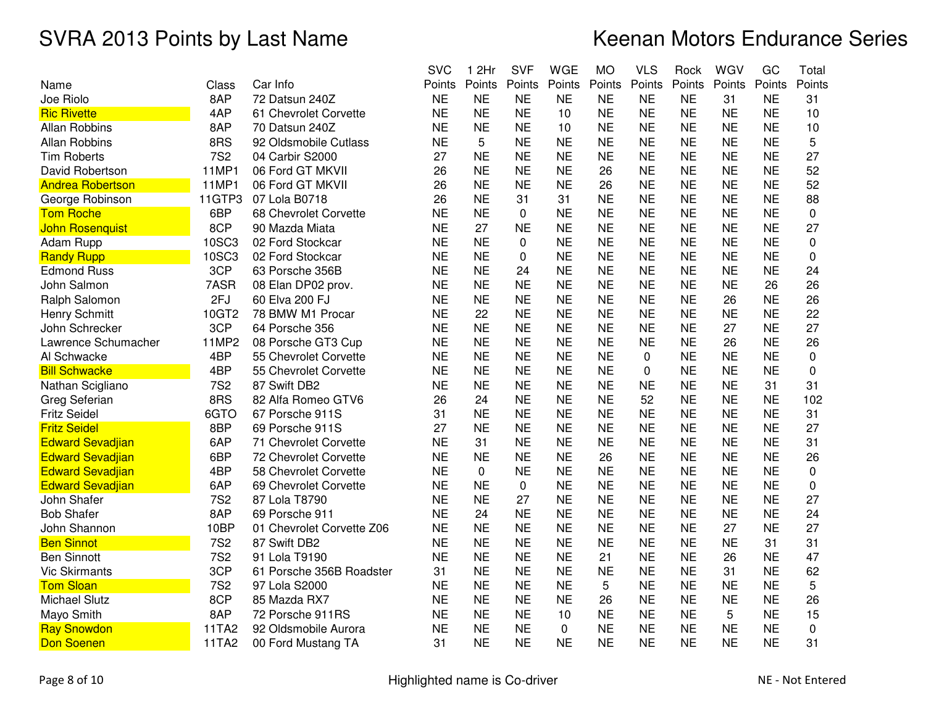|                         |              |                           | <b>SVC</b> | 2Hr<br>1    | <b>SVF</b>  | <b>WGE</b> | <b>MO</b> | <b>VLS</b>  | Rock      | WGV       | GC        | Total       |
|-------------------------|--------------|---------------------------|------------|-------------|-------------|------------|-----------|-------------|-----------|-----------|-----------|-------------|
| Name                    | Class        | Car Info                  | Points     | Points      | Points      | Points     | Points    | Points      | Points    | Points    | Points    | Points      |
| Joe Riolo               | 8AP          | 72 Datsun 240Z            | <b>NE</b>  | <b>NE</b>   | <b>NE</b>   | <b>NE</b>  | <b>NE</b> | <b>NE</b>   | <b>NE</b> | 31        | <b>NE</b> | 31          |
| <b>Ric Rivette</b>      | 4AP          | 61 Chevrolet Corvette     | <b>NE</b>  | <b>NE</b>   | <b>NE</b>   | 10         | <b>NE</b> | <b>NE</b>   | <b>NE</b> | <b>NE</b> | <b>NE</b> | 10          |
| <b>Allan Robbins</b>    | 8AP          | 70 Datsun 240Z            | <b>NE</b>  | <b>NE</b>   | <b>NE</b>   | 10         | <b>NE</b> | <b>NE</b>   | <b>NE</b> | <b>NE</b> | <b>NE</b> | 10          |
| <b>Allan Robbins</b>    | 8RS          | 92 Oldsmobile Cutlass     | <b>NE</b>  | 5           | <b>NE</b>   | <b>NE</b>  | <b>NE</b> | <b>NE</b>   | <b>NE</b> | <b>NE</b> | <b>NE</b> | 5           |
| <b>Tim Roberts</b>      | <b>7S2</b>   | 04 Carbir S2000           | 27         | <b>NE</b>   | <b>NE</b>   | <b>NE</b>  | <b>NE</b> | <b>NE</b>   | <b>NE</b> | <b>NE</b> | <b>NE</b> | 27          |
| David Robertson         | 11MP1        | 06 Ford GT MKVII          | 26         | <b>NE</b>   | <b>NE</b>   | <b>NE</b>  | 26        | <b>NE</b>   | <b>NE</b> | <b>NE</b> | ΝE        | 52          |
| <b>Andrea Robertson</b> | 11MP1        | 06 Ford GT MKVII          | 26         | <b>NE</b>   | <b>NE</b>   | <b>NE</b>  | 26        | <b>NE</b>   | <b>NE</b> | <b>NE</b> | <b>NE</b> | 52          |
| George Robinson         | 11GTP3       | 07 Lola B0718             | 26         | <b>NE</b>   | 31          | 31         | <b>NE</b> | <b>NE</b>   | <b>NE</b> | <b>NE</b> | <b>NE</b> | 88          |
| <b>Tom Roche</b>        | 6BP          | 68 Chevrolet Corvette     | <b>NE</b>  | <b>NE</b>   | $\mathbf 0$ | <b>NE</b>  | <b>NE</b> | <b>NE</b>   | <b>NE</b> | <b>NE</b> | <b>NE</b> | 0           |
| <b>John Rosenquist</b>  | 8CP          | 90 Mazda Miata            | <b>NE</b>  | 27          | <b>NE</b>   | <b>NE</b>  | <b>NE</b> | <b>NE</b>   | <b>NE</b> | <b>NE</b> | <b>NE</b> | 27          |
| Adam Rupp               | <b>10SC3</b> | 02 Ford Stockcar          | <b>NE</b>  | <b>NE</b>   | 0           | <b>NE</b>  | <b>NE</b> | <b>NE</b>   | <b>NE</b> | <b>NE</b> | <b>NE</b> | $\mathbf 0$ |
| <b>Randy Rupp</b>       | 10SC3        | 02 Ford Stockcar          | <b>NE</b>  | <b>NE</b>   | 0           | <b>NE</b>  | <b>NE</b> | <b>NE</b>   | <b>NE</b> | <b>NE</b> | <b>NE</b> | 0           |
| <b>Edmond Russ</b>      | 3CP          | 63 Porsche 356B           | <b>NE</b>  | <b>NE</b>   | 24          | <b>NE</b>  | <b>NE</b> | <b>NE</b>   | <b>NE</b> | <b>NE</b> | <b>NE</b> | 24          |
| John Salmon             | 7ASR         | 08 Elan DP02 prov.        | <b>NE</b>  | <b>NE</b>   | <b>NE</b>   | <b>NE</b>  | <b>NE</b> | <b>NE</b>   | <b>NE</b> | <b>NE</b> | 26        | 26          |
| Ralph Salomon           | 2FJ          | 60 Elva 200 FJ            | <b>NE</b>  | <b>NE</b>   | <b>NE</b>   | <b>NE</b>  | <b>NE</b> | <b>NE</b>   | <b>NE</b> | 26        | <b>NE</b> | 26          |
| <b>Henry Schmitt</b>    | 10GT2        | 78 BMW M1 Procar          | <b>NE</b>  | 22          | <b>NE</b>   | <b>NE</b>  | <b>NE</b> | <b>NE</b>   | <b>NE</b> | <b>NE</b> | <b>NE</b> | 22          |
| John Schrecker          | 3CP          | 64 Porsche 356            | <b>NE</b>  | <b>NE</b>   | <b>NE</b>   | <b>NE</b>  | <b>NE</b> | <b>NE</b>   | <b>NE</b> | 27        | ΝE        | 27          |
| Lawrence Schumacher     | 11MP2        | 08 Porsche GT3 Cup        | <b>NE</b>  | <b>NE</b>   | <b>NE</b>   | <b>NE</b>  | <b>NE</b> | <b>NE</b>   | <b>NE</b> | 26        | <b>NE</b> | 26          |
| Al Schwacke             | 4BP          | 55 Chevrolet Corvette     | <b>NE</b>  | <b>NE</b>   | <b>NE</b>   | <b>NE</b>  | <b>NE</b> | 0           | <b>NE</b> | <b>NE</b> | <b>NE</b> | 0           |
| <b>Bill Schwacke</b>    | 4BP          | 55 Chevrolet Corvette     | <b>NE</b>  | <b>NE</b>   | <b>NE</b>   | <b>NE</b>  | <b>NE</b> | $\mathbf 0$ | <b>NE</b> | <b>NE</b> | <b>NE</b> | $\pmb{0}$   |
| Nathan Scigliano        | <b>7S2</b>   | 87 Swift DB2              | <b>NE</b>  | <b>NE</b>   | <b>NE</b>   | <b>NE</b>  | <b>NE</b> | <b>NE</b>   | <b>NE</b> | <b>NE</b> | 31        | 31          |
| Greg Seferian           | 8RS          | 82 Alfa Romeo GTV6        | 26         | 24          | <b>NE</b>   | <b>NE</b>  | <b>NE</b> | 52          | <b>NE</b> | <b>NE</b> | <b>NE</b> | 102         |
| <b>Fritz Seidel</b>     | 6GTO         | 67 Porsche 911S           | 31         | <b>NE</b>   | <b>NE</b>   | <b>NE</b>  | <b>NE</b> | <b>NE</b>   | <b>NE</b> | <b>NE</b> | <b>NE</b> | 31          |
| <b>Fritz Seidel</b>     | 8BP          | 69 Porsche 911S           | 27         | <b>NE</b>   | <b>NE</b>   | <b>NE</b>  | <b>NE</b> | <b>NE</b>   | <b>NE</b> | <b>NE</b> | <b>NE</b> | 27          |
| <b>Edward Sevadjian</b> | 6AP          | 71 Chevrolet Corvette     | <b>NE</b>  | 31          | <b>NE</b>   | <b>NE</b>  | <b>NE</b> | <b>NE</b>   | <b>NE</b> | <b>NE</b> | <b>NE</b> | 31          |
| <b>Edward Sevadjian</b> | 6BP          | 72 Chevrolet Corvette     | <b>NE</b>  | <b>NE</b>   | <b>NE</b>   | <b>NE</b>  | 26        | <b>NE</b>   | <b>NE</b> | <b>NE</b> | <b>NE</b> | 26          |
| <b>Edward Sevadjian</b> | 4BP          | 58 Chevrolet Corvette     | <b>NE</b>  | $\mathbf 0$ | <b>NE</b>   | <b>NE</b>  | <b>NE</b> | <b>NE</b>   | <b>NE</b> | <b>NE</b> | <b>NE</b> | 0           |
| <b>Edward Sevadjian</b> | 6AP          | 69 Chevrolet Corvette     | <b>NE</b>  | <b>NE</b>   | 0           | <b>NE</b>  | <b>NE</b> | <b>NE</b>   | <b>NE</b> | <b>NE</b> | <b>NE</b> | 0           |
| John Shafer             | <b>7S2</b>   | 87 Lola T8790             | <b>NE</b>  | <b>NE</b>   | 27          | <b>NE</b>  | <b>NE</b> | <b>NE</b>   | <b>NE</b> | <b>NE</b> | <b>NE</b> | 27          |
| <b>Bob Shafer</b>       | 8AP          | 69 Porsche 911            | <b>NE</b>  | 24          | <b>NE</b>   | <b>NE</b>  | <b>NE</b> | <b>NE</b>   | <b>NE</b> | <b>NE</b> | <b>NE</b> | 24          |
| John Shannon            | 10BP         | 01 Chevrolet Corvette Z06 | <b>NE</b>  | <b>NE</b>   | <b>NE</b>   | <b>NE</b>  | <b>NE</b> | <b>NE</b>   | <b>NE</b> | 27        | <b>NE</b> | 27          |
| <b>Ben Sinnot</b>       | <b>7S2</b>   | 87 Swift DB2              | <b>NE</b>  | <b>NE</b>   | <b>NE</b>   | <b>NE</b>  | <b>NE</b> | <b>NE</b>   | <b>NE</b> | <b>NE</b> | 31        | 31          |
| <b>Ben Sinnott</b>      | <b>7S2</b>   | 91 Lola T9190             | <b>NE</b>  | <b>NE</b>   | <b>NE</b>   | <b>NE</b>  | 21        | <b>NE</b>   | <b>NE</b> | 26        | <b>NE</b> | 47          |
| <b>Vic Skirmants</b>    | 3CP          | 61 Porsche 356B Roadster  | 31         | <b>NE</b>   | <b>NE</b>   | <b>NE</b>  | <b>NE</b> | <b>NE</b>   | <b>NE</b> | 31        | <b>NE</b> | 62          |
| <b>Tom Sloan</b>        | <b>7S2</b>   | 97 Lola S2000             | <b>NE</b>  | <b>NE</b>   | <b>NE</b>   | <b>NE</b>  | 5         | <b>NE</b>   | <b>NE</b> | <b>NE</b> | <b>NE</b> | 5           |
| <b>Michael Slutz</b>    | 8CP          | 85 Mazda RX7              | <b>NE</b>  | <b>NE</b>   | <b>NE</b>   | <b>NE</b>  | 26        | <b>NE</b>   | <b>NE</b> | <b>NE</b> | <b>NE</b> | 26          |
| Mayo Smith              | 8AP          | 72 Porsche 911RS          | <b>NE</b>  | <b>NE</b>   | <b>NE</b>   | 10         | <b>NE</b> | <b>NE</b>   | <b>NE</b> | 5         | <b>NE</b> | 15          |
| <b>Ray Snowdon</b>      | 11TA2        | 92 Oldsmobile Aurora      | <b>NE</b>  | <b>NE</b>   | <b>NE</b>   | 0          | <b>NE</b> | <b>NE</b>   | <b>NE</b> | <b>NE</b> | <b>NE</b> | 0           |
| <b>Don Soenen</b>       | 11TA2        | 00 Ford Mustang TA        | 31         | <b>NE</b>   | <b>NE</b>   | <b>NE</b>  | <b>NE</b> | <b>NE</b>   | <b>NE</b> | <b>NE</b> | <b>NE</b> | 31          |
|                         |              |                           |            |             |             |            |           |             |           |           |           |             |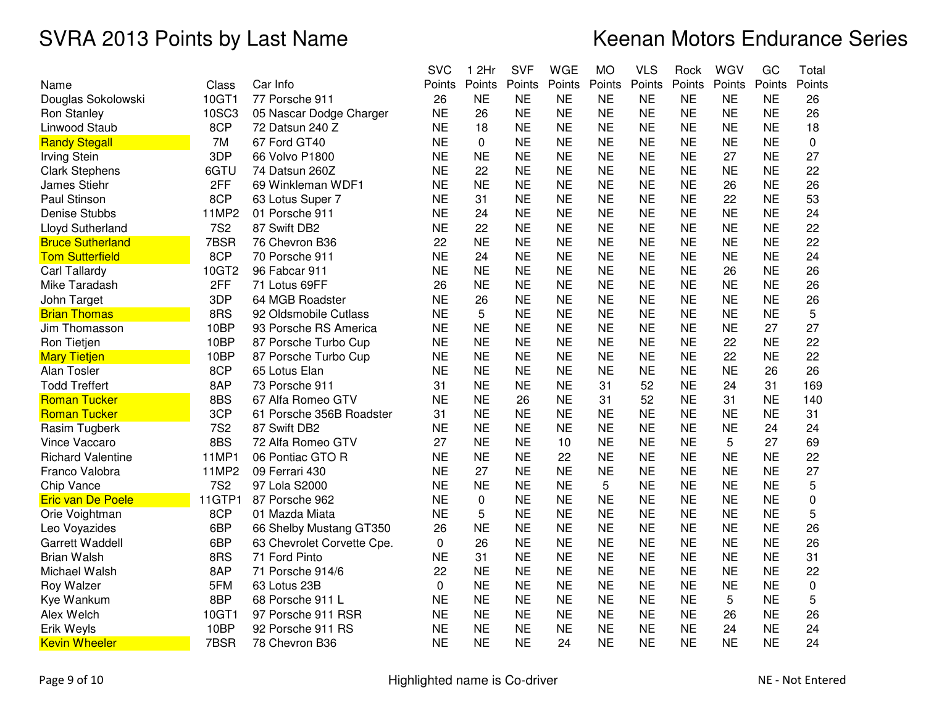|                          |            |                            | <b>SVC</b> | 1 2Hr       | <b>SVF</b> | <b>WGE</b> | <b>MO</b> | VLS       | Rock      | WGV       | GC        | Total  |
|--------------------------|------------|----------------------------|------------|-------------|------------|------------|-----------|-----------|-----------|-----------|-----------|--------|
| Name                     | Class      | Car Info                   | Points     | Points      | Points     | Points     | Points    | Points    | Points    | Points    | Points    | Points |
| Douglas Sokolowski       | 10GT1      | 77 Porsche 911             | 26         | <b>NE</b>   | <b>NE</b>  | <b>NE</b>  | <b>NE</b> | <b>NE</b> | <b>NE</b> | <b>NE</b> | <b>NE</b> | 26     |
| Ron Stanley              | 10SC3      | 05 Nascar Dodge Charger    | <b>NE</b>  | 26          | <b>NE</b>  | <b>NE</b>  | <b>NE</b> | <b>NE</b> | <b>NE</b> | <b>NE</b> | <b>NE</b> | 26     |
| Linwood Staub            | 8CP        | 72 Datsun 240 Z            | <b>NE</b>  | 18          | <b>NE</b>  | <b>NE</b>  | <b>NE</b> | <b>NE</b> | <b>NE</b> | <b>NE</b> | <b>NE</b> | 18     |
| <b>Randy Stegall</b>     | 7M         | 67 Ford GT40               | <b>NE</b>  | $\mathbf 0$ | <b>NE</b>  | <b>NE</b>  | <b>NE</b> | <b>NE</b> | <b>NE</b> | <b>NE</b> | <b>NE</b> | 0      |
| <b>Irving Stein</b>      | 3DP        | 66 Volvo P1800             | <b>NE</b>  | <b>NE</b>   | <b>NE</b>  | <b>NE</b>  | <b>NE</b> | <b>NE</b> | <b>NE</b> | 27        | <b>NE</b> | 27     |
| <b>Clark Stephens</b>    | 6GTU       | 74 Datsun 260Z             | <b>NE</b>  | 22          | <b>NE</b>  | <b>NE</b>  | NE        | ΝE        | <b>NE</b> | NE        | ΝE        | 22     |
| James Stiehr             | 2FF        | 69 Winkleman WDF1          | <b>NE</b>  | <b>NE</b>   | <b>NE</b>  | <b>NE</b>  | <b>NE</b> | <b>NE</b> | <b>NE</b> | 26        | <b>NE</b> | 26     |
| Paul Stinson             | 8CP        | 63 Lotus Super 7           | <b>NE</b>  | 31          | <b>NE</b>  | <b>NE</b>  | <b>NE</b> | <b>NE</b> | <b>NE</b> | 22        | <b>NE</b> | 53     |
| <b>Denise Stubbs</b>     | 11MP2      | 01 Porsche 911             | <b>NE</b>  | 24          | <b>NE</b>  | <b>NE</b>  | <b>NE</b> | <b>NE</b> | <b>NE</b> | <b>NE</b> | <b>NE</b> | 24     |
| Lloyd Sutherland         | <b>7S2</b> | 87 Swift DB2               | <b>NE</b>  | 22          | <b>NE</b>  | <b>NE</b>  | <b>NE</b> | <b>NE</b> | <b>NE</b> | <b>NE</b> | <b>NE</b> | 22     |
| <b>Bruce Sutherland</b>  | 7BSR       | 76 Chevron B36             | 22         | <b>NE</b>   | <b>NE</b>  | <b>NE</b>  | <b>NE</b> | <b>NE</b> | <b>NE</b> | <b>NE</b> | <b>NE</b> | 22     |
| <b>Tom Sutterfield</b>   | 8CP        | 70 Porsche 911             | <b>NE</b>  | 24          | <b>NE</b>  | <b>NE</b>  | <b>NE</b> | <b>NE</b> | <b>NE</b> | <b>NE</b> | <b>NE</b> | 24     |
| Carl Tallardy            | 10GT2      | 96 Fabcar 911              | <b>NE</b>  | <b>NE</b>   | <b>NE</b>  | <b>NE</b>  | <b>NE</b> | <b>NE</b> | <b>NE</b> | 26        | <b>NE</b> | 26     |
| Mike Taradash            | 2FF        | 71 Lotus 69FF              | 26         | <b>NE</b>   | <b>NE</b>  | <b>NE</b>  | <b>NE</b> | <b>NE</b> | <b>NE</b> | <b>NE</b> | <b>NE</b> | 26     |
| John Target              | 3DP        | 64 MGB Roadster            | <b>NE</b>  | 26          | <b>NE</b>  | <b>NE</b>  | <b>NE</b> | <b>NE</b> | <b>NE</b> | <b>NE</b> | <b>NE</b> | 26     |
| <b>Brian Thomas</b>      | 8RS        | 92 Oldsmobile Cutlass      | <b>NE</b>  | 5           | <b>NE</b>  | <b>NE</b>  | <b>NE</b> | <b>NE</b> | <b>NE</b> | <b>NE</b> | <b>NE</b> | 5      |
| Jim Thomasson            | 10BP       | 93 Porsche RS America      | <b>NE</b>  | <b>NE</b>   | <b>NE</b>  | <b>NE</b>  | <b>NE</b> | <b>NE</b> | <b>NE</b> | <b>NE</b> | 27        | 27     |
| <b>Ron Tietjen</b>       | 10BP       | 87 Porsche Turbo Cup       | <b>NE</b>  | <b>NE</b>   | <b>NE</b>  | <b>NE</b>  | <b>NE</b> | <b>NE</b> | <b>NE</b> | 22        | <b>NE</b> | 22     |
| <b>Mary Tietjen</b>      | 10BP       | 87 Porsche Turbo Cup       | <b>NE</b>  | <b>NE</b>   | <b>NE</b>  | <b>NE</b>  | <b>NE</b> | <b>NE</b> | <b>NE</b> | 22        | <b>NE</b> | 22     |
| Alan Tosler              | 8CP        | 65 Lotus Elan              | <b>NE</b>  | <b>NE</b>   | <b>NE</b>  | <b>NE</b>  | <b>NE</b> | <b>NE</b> | <b>NE</b> | <b>NE</b> | 26        | 26     |
| <b>Todd Treffert</b>     | 8AP        | 73 Porsche 911             | 31         | <b>NE</b>   | <b>NE</b>  | <b>NE</b>  | 31        | 52        | <b>NE</b> | 24        | 31        | 169    |
| <b>Roman Tucker</b>      | 8BS        | 67 Alfa Romeo GTV          | <b>NE</b>  | <b>NE</b>   | 26         | <b>NE</b>  | 31        | 52        | <b>NE</b> | 31        | <b>NE</b> | 140    |
| <b>Roman Tucker</b>      | 3CP        | 61 Porsche 356B Roadster   | 31         | <b>NE</b>   | <b>NE</b>  | <b>NE</b>  | <b>NE</b> | <b>NE</b> | <b>NE</b> | <b>NE</b> | <b>NE</b> | 31     |
| Rasim Tugberk            | <b>7S2</b> | 87 Swift DB2               | <b>NE</b>  | <b>NE</b>   | <b>NE</b>  | <b>NE</b>  | <b>NE</b> | <b>NE</b> | <b>NE</b> | <b>NE</b> | 24        | 24     |
| Vince Vaccaro            | 8BS        | 72 Alfa Romeo GTV          | 27         | <b>NE</b>   | <b>NE</b>  | 10         | <b>NE</b> | <b>NE</b> | <b>NE</b> | 5         | 27        | 69     |
| <b>Richard Valentine</b> | 11MP1      | 06 Pontiac GTO R           | <b>NE</b>  | <b>NE</b>   | <b>NE</b>  | 22         | <b>NE</b> | <b>NE</b> | <b>NE</b> | <b>NE</b> | <b>NE</b> | 22     |
| Franco Valobra           | 11MP2      | 09 Ferrari 430             | <b>NE</b>  | 27          | <b>NE</b>  | <b>NE</b>  | <b>NE</b> | <b>NE</b> | <b>NE</b> | <b>NE</b> | <b>NE</b> | 27     |
| Chip Vance               | <b>7S2</b> | 97 Lola S2000              | <b>NE</b>  | <b>NE</b>   | <b>NE</b>  | <b>NE</b>  | 5         | <b>NE</b> | <b>NE</b> | <b>NE</b> | <b>NE</b> | 5      |
| <b>Eric van De Poele</b> | 11GTP1     | 87 Porsche 962             | <b>NE</b>  | $\pmb{0}$   | <b>NE</b>  | <b>NE</b>  | <b>NE</b> | <b>NE</b> | <b>NE</b> | <b>NE</b> | <b>NE</b> | 0      |
| Orie Voightman           | 8CP        | 01 Mazda Miata             | <b>NE</b>  | 5           | <b>NE</b>  | <b>NE</b>  | <b>NE</b> | <b>NE</b> | <b>NE</b> | <b>NE</b> | <b>NE</b> | 5      |
| Leo Voyazides            | 6BP        | 66 Shelby Mustang GT350    | 26         | <b>NE</b>   | <b>NE</b>  | <b>NE</b>  | <b>NE</b> | <b>NE</b> | <b>NE</b> | <b>NE</b> | <b>NE</b> | 26     |
| <b>Garrett Waddell</b>   | 6BP        | 63 Chevrolet Corvette Cpe. | 0          | 26          | <b>NE</b>  | <b>NE</b>  | <b>NE</b> | <b>NE</b> | <b>NE</b> | <b>NE</b> | <b>NE</b> | 26     |
| <b>Brian Walsh</b>       | 8RS        | 71 Ford Pinto              | <b>NE</b>  | 31          | <b>NE</b>  | <b>NE</b>  | <b>NE</b> | <b>NE</b> | <b>NE</b> | <b>NE</b> | <b>NE</b> | 31     |
| Michael Walsh            | 8AP        | 71 Porsche 914/6           | 22         | <b>NE</b>   | <b>NE</b>  | <b>NE</b>  | <b>NE</b> | <b>NE</b> | <b>NE</b> | <b>NE</b> | <b>NE</b> | 22     |
| Roy Walzer               | 5FM        | 63 Lotus 23B               | $\Omega$   | <b>NE</b>   | <b>NE</b>  | <b>NE</b>  | <b>NE</b> | <b>NE</b> | <b>NE</b> | <b>NE</b> | <b>NE</b> | 0      |
| Kye Wankum               | 8BP        | 68 Porsche 911 L           | <b>NE</b>  | <b>NE</b>   | <b>NE</b>  | <b>NE</b>  | <b>NE</b> | <b>NE</b> | <b>NE</b> | 5         | <b>NE</b> | 5      |
| Alex Welch               | 10GT1      | 97 Porsche 911 RSR         | <b>NE</b>  | <b>NE</b>   | <b>NE</b>  | <b>NE</b>  | <b>NE</b> | <b>NE</b> | <b>NE</b> | 26        | <b>NE</b> | 26     |
| Erik Weyls               | 10BP       | 92 Porsche 911 RS          | <b>NE</b>  | <b>NE</b>   | <b>NE</b>  | <b>NE</b>  | <b>NE</b> | <b>NE</b> | <b>NE</b> | 24        | <b>NE</b> | 24     |
| <b>Kevin Wheeler</b>     | 7BSR       | 78 Chevron B36             | <b>NE</b>  | <b>NE</b>   | <b>NE</b>  | 24         | <b>NE</b> | <b>NE</b> | <b>NE</b> | <b>NE</b> | <b>NE</b> | 24     |